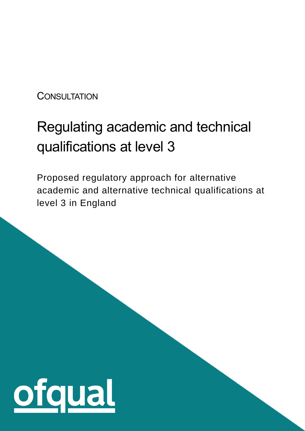**CONSULTATION** 

# Regulating academic and technical qualifications at level 3

Proposed regulatory approach for alternative academic and alternative technical qualifications at level 3 in England

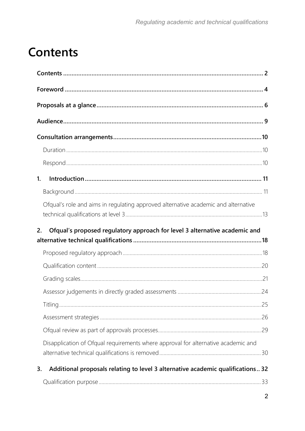# <span id="page-1-0"></span>**Contents**

| $\mathbf{1}$ .                                                                        |  |
|---------------------------------------------------------------------------------------|--|
|                                                                                       |  |
| Ofqual's role and aims in regulating approved alternative academic and alternative    |  |
| Ofqual's proposed regulatory approach for level 3 alternative academic and<br>2.      |  |
|                                                                                       |  |
|                                                                                       |  |
|                                                                                       |  |
|                                                                                       |  |
|                                                                                       |  |
|                                                                                       |  |
|                                                                                       |  |
|                                                                                       |  |
|                                                                                       |  |
| Disapplication of Ofqual requirements where approval for alternative academic and     |  |
| Additional proposals relating to level 3 alternative academic qualifications 32<br>3. |  |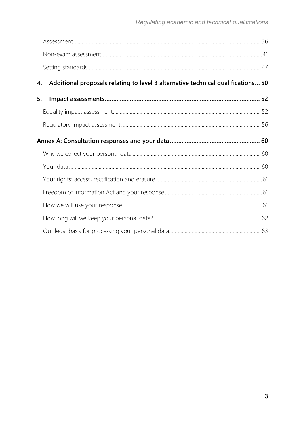| 4. | Additional proposals relating to level 3 alternative technical qualifications 50 |  |
|----|----------------------------------------------------------------------------------|--|
| 5. |                                                                                  |  |
|    |                                                                                  |  |
|    |                                                                                  |  |
|    |                                                                                  |  |
|    |                                                                                  |  |
|    |                                                                                  |  |
|    |                                                                                  |  |
|    |                                                                                  |  |
|    |                                                                                  |  |
|    |                                                                                  |  |
|    |                                                                                  |  |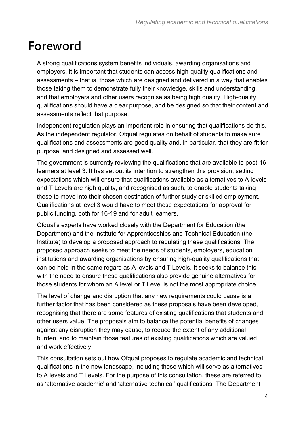# <span id="page-3-0"></span>**Foreword**

A strong qualifications system benefits individuals, awarding organisations and employers. It is important that students can access high-quality qualifications and assessments – that is, those which are designed and delivered in a way that enables those taking them to demonstrate fully their knowledge, skills and understanding, and that employers and other users recognise as being high quality. High-quality qualifications should have a clear purpose, and be designed so that their content and assessments reflect that purpose.

Independent regulation plays an important role in ensuring that qualifications do this. As the independent regulator, Ofqual regulates on behalf of students to make sure qualifications and assessments are good quality and, in particular, that they are fit for purpose, and designed and assessed well.

The government is currently reviewing the qualifications that are available to post-16 learners at level 3. It has set out its intention to strengthen this provision, setting expectations which will ensure that qualifications available as alternatives to A levels and T Levels are high quality, and recognised as such, to enable students taking these to move into their chosen destination of further study or skilled employment. Qualifications at level 3 would have to meet these expectations for approval for public funding, both for 16-19 and for adult learners.

Ofqual's experts have worked closely with the Department for Education (the Department) and the Institute for Apprenticeships and Technical Education (the Institute) to develop a proposed approach to regulating these qualifications. The proposed approach seeks to meet the needs of students, employers, education institutions and awarding organisations by ensuring high-quality qualifications that can be held in the same regard as A levels and T Levels. It seeks to balance this with the need to ensure these qualifications also provide genuine alternatives for those students for whom an A level or T Level is not the most appropriate choice.

The level of change and disruption that any new requirements could cause is a further factor that has been considered as these proposals have been developed, recognising that there are some features of existing qualifications that students and other users value. The proposals aim to balance the potential benefits of changes against any disruption they may cause, to reduce the extent of any additional burden, and to maintain those features of existing qualifications which are valued and work effectively.

This consultation sets out how Ofqual proposes to regulate academic and technical qualifications in the new landscape, including those which will serve as alternatives to A levels and T Levels. For the purpose of this consultation, these are referred to as 'alternative academic' and 'alternative technical' qualifications. The Department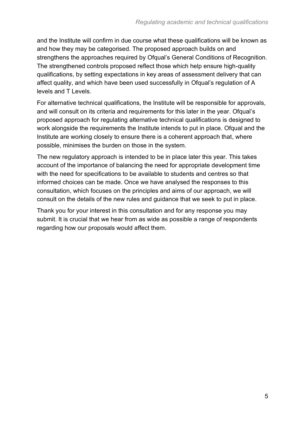and the Institute will confirm in due course what these qualifications will be known as and how they may be categorised. The proposed approach builds on and strengthens the approaches required by Ofqual's General Conditions of Recognition. The strengthened controls proposed reflect those which help ensure high-quality qualifications, by setting expectations in key areas of assessment delivery that can affect quality, and which have been used successfully in Ofqual's regulation of A levels and T Levels.

For alternative technical qualifications, the Institute will be responsible for approvals, and will consult on its criteria and requirements for this later in the year. Ofqual's proposed approach for regulating alternative technical qualifications is designed to work alongside the requirements the Institute intends to put in place. Ofqual and the Institute are working closely to ensure there is a coherent approach that, where possible, minimises the burden on those in the system.

The new regulatory approach is intended to be in place later this year. This takes account of the importance of balancing the need for appropriate development time with the need for specifications to be available to students and centres so that informed choices can be made. Once we have analysed the responses to this consultation, which focuses on the principles and aims of our approach, we will consult on the details of the new rules and guidance that we seek to put in place.

Thank you for your interest in this consultation and for any response you may submit. It is crucial that we hear from as wide as possible a range of respondents regarding how our proposals would affect them.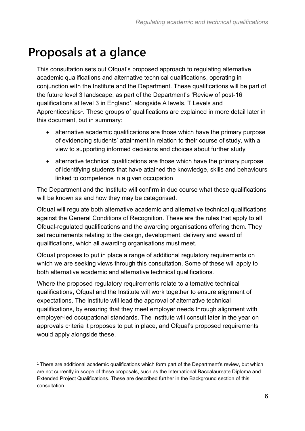# <span id="page-5-0"></span>**Proposals at a glance**

This consultation sets out Ofqual's proposed approach to regulating alternative academic qualifications and alternative technical qualifications, operating in conjunction with the Institute and the Department. These qualifications will be part of the future level 3 landscape, as part of the Department's 'Review of post-16 qualifications at level 3 in England', alongside A levels, T Levels and Apprenticeships<sup>1</sup>. These groups of qualifications are explained in more detail later in this document, but in summary:

- alternative academic qualifications are those which have the primary purpose of evidencing students' attainment in relation to their course of study, with a view to supporting informed decisions and choices about further study
- alternative technical qualifications are those which have the primary purpose of identifying students that have attained the knowledge, skills and behaviours linked to competence in a given occupation

The Department and the Institute will confirm in due course what these qualifications will be known as and how they may be categorised.

Ofqual will regulate both alternative academic and alternative technical qualifications against the General Conditions of Recognition. These are the rules that apply to all Ofqual-regulated qualifications and the awarding organisations offering them. They set requirements relating to the design, development, delivery and award of qualifications, which all awarding organisations must meet.

Ofqual proposes to put in place a range of additional regulatory requirements on which we are seeking views through this consultation. Some of these will apply to both alternative academic and alternative technical qualifications.

Where the proposed regulatory requirements relate to alternative technical qualifications, Ofqual and the Institute will work together to ensure alignment of expectations. The Institute will lead the approval of alternative technical qualifications, by ensuring that they meet employer needs through alignment with employer-led occupational standards. The Institute will consult later in the year on approvals criteria it proposes to put in place, and Ofqual's proposed requirements would apply alongside these.

<sup>1</sup> There are additional academic qualifications which form part of the Department's review, but which are not currently in scope of these proposals, such as the International Baccalaureate Diploma and Extended Project Qualifications. These are described further in the Background section of this consultation.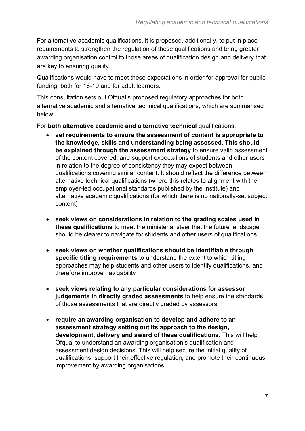For alternative academic qualifications, it is proposed, additionally, to put in place requirements to strengthen the regulation of these qualifications and bring greater awarding organisation control to those areas of qualification design and delivery that are key to ensuring quality.

Qualifications would have to meet these expectations in order for approval for public funding, both for 16-19 and for adult learners.

This consultation sets out Ofqual's proposed regulatory approaches for both alternative academic and alternative technical qualifications, which are summarised below.

For **both alternative academic and alternative technical** qualifications:

- **set requirements to ensure the assessment of content is appropriate to the knowledge, skills and understanding being assessed. This should be explained through the assessment strategy** to ensure valid assessment of the content covered, and support expectations of students and other users in relation to the degree of consistency they may expect between qualifications covering similar content. It should reflect the difference between alternative technical qualifications (where this relates to alignment with the employer-led occupational standards published by the Institute) and alternative academic qualifications (for which there is no nationally-set subject content)
- **seek views on considerations in relation to the grading scales used in these qualifications** to meet the ministerial steer that the future landscape should be clearer to navigate for students and other users of qualifications
- **seek views on whether qualifications should be identifiable through specific titling requirements** to understand the extent to which titling approaches may help students and other users to identify qualifications, and therefore improve navigability
- **seek views relating to any particular considerations for assessor judgements in directly graded assessments** to help ensure the standards of those assessments that are directly graded by assessors
- **require an awarding organisation to develop and adhere to an assessment strategy setting out its approach to the design, development, delivery and award of these qualifications.** This will help Ofqual to understand an awarding organisation's qualification and assessment design decisions. This will help secure the initial quality of qualifications, support their effective regulation, and promote their continuous improvement by awarding organisations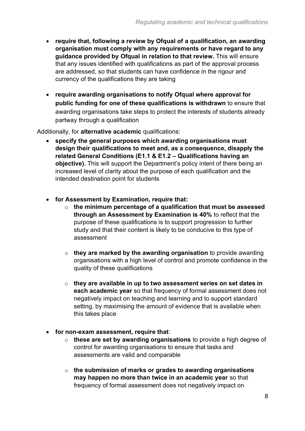- **require that, following a review by Ofqual of a qualification, an awarding organisation must comply with any requirements or have regard to any guidance provided by Ofqual in relation to that review.** This will ensure that any issues identified with qualifications as part of the approval process are addressed, so that students can have confidence in the rigour and currency of the qualifications they are taking
- **require awarding organisations to notify Ofqual where approval for public funding for one of these qualifications is withdrawn** to ensure that awarding organisations take steps to protect the interests of students already partway through a qualification

Additionally, for **alternative academic** qualifications:

- **specify the general purposes which awarding organisations must design their qualifications to meet and, as a consequence, disapply the related General Conditions (E1.1 & E1.2 – Qualifications having an objective).** This will support the Department's policy intent of there being an increased level of clarity about the purpose of each qualification and the intended destination point for students
- **for Assessment by Examination, require that:**
	- o **the minimum percentage of a qualification that must be assessed through an Assessment by Examination is 40%** to reflect that the purpose of these qualifications is to support progression to further study and that their content is likely to be conducive to this type of assessment
	- o **they are marked by the awarding organisation** to provide awarding organisations with a high level of control and promote confidence in the quality of these qualifications
	- o **they are available in up to two assessment series on set dates in each academic year** so that frequency of formal assessment does not negatively impact on teaching and learning and to support standard setting, by maximising the amount of evidence that is available when this takes place
- **for non-exam assessment, require that**:
	- o **these are set by awarding organisations** to provide a high degree of control for awarding organisations to ensure that tasks and assessments are valid and comparable
	- o **the submission of marks or grades to awarding organisations may happen no more than twice in an academic year** so that frequency of formal assessment does not negatively impact on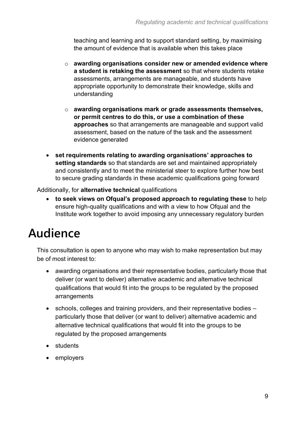teaching and learning and to support standard setting, by maximising the amount of evidence that is available when this takes place

- o **awarding organisations consider new or amended evidence where a student is retaking the assessment** so that where students retake assessments, arrangements are manageable, and students have appropriate opportunity to demonstrate their knowledge, skills and understanding
- o **awarding organisations mark or grade assessments themselves, or permit centres to do this, or use a combination of these approaches** so that arrangements are manageable and support valid assessment, based on the nature of the task and the assessment evidence generated
- **set requirements relating to awarding organisations' approaches to setting standards** so that standards are set and maintained appropriately and consistently and to meet the ministerial steer to explore further how best to secure grading standards in these academic qualifications going forward

Additionally, for **alternative technical** qualifications

• **to seek views on Ofqual's proposed approach to regulating these** to help ensure high-quality qualifications and with a view to how Ofqual and the Institute work together to avoid imposing any unnecessary regulatory burden

# <span id="page-8-0"></span>**Audience**

This consultation is open to anyone who may wish to make representation but may be of most interest to:

- awarding organisations and their representative bodies, particularly those that deliver (or want to deliver) alternative academic and alternative technical qualifications that would fit into the groups to be regulated by the proposed arrangements
- schools, colleges and training providers, and their representative bodies particularly those that deliver (or want to deliver) alternative academic and alternative technical qualifications that would fit into the groups to be regulated by the proposed arrangements
- students
- employers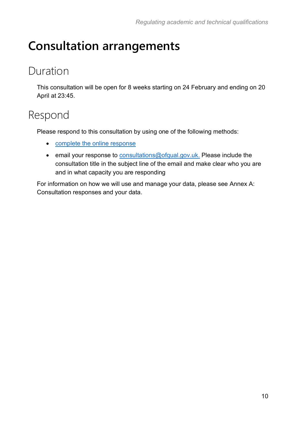# <span id="page-9-0"></span>**Consultation arrangements**

## <span id="page-9-1"></span>Duration

This consultation will be open for 8 weeks starting on 24 February and ending on 20 April at 23:45.

## <span id="page-9-2"></span>Respond

Please respond to this consultation by using one of the following methods:

- [complete the online response](https://ofqual.citizenspace.com/public/quals-vtq-policy-l3-academic-technical-consult/)
- email your response to [consultations@ofqual.gov.uk.](mailto:consultations@ofqual.gov.uk) Please include the consultation title in the subject line of the email and make clear who you are and in what capacity you are responding

For information on how we will use and manage your data, please see [Annex A:](#page-59-0)  [Consultation responses and your data.](#page-59-0)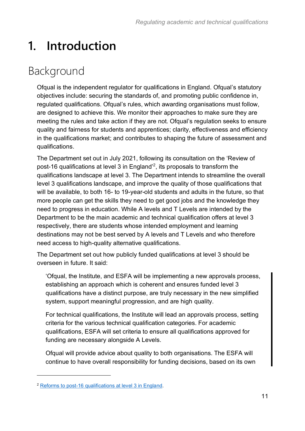# <span id="page-10-0"></span>**1. Introduction**

# <span id="page-10-1"></span>Background

Ofqual is the independent regulator for qualifications in England. Ofqual's statutory objectives include: securing the standards of, and promoting public confidence in, regulated qualifications. Ofqual's rules, which awarding organisations must follow, are designed to achieve this. We monitor their approaches to make sure they are meeting the rules and take action if they are not. Ofqual's regulation seeks to ensure quality and fairness for students and apprentices; clarity, effectiveness and efficiency in the qualifications market; and contributes to shaping the future of assessment and qualifications.

The Department set out in July 2021, following its consultation on the 'Review of post-16 qualifications at level 3 in England'<sup>2</sup>, its proposals to transform the qualifications landscape at level 3. The Department intends to streamline the overall level 3 qualifications landscape, and improve the quality of those qualifications that will be available, to both 16- to 19-year-old students and adults in the future, so that more people can get the skills they need to get good jobs and the knowledge they need to progress in education. While A levels and T Levels are intended by the Department to be the main academic and technical qualification offers at level 3 respectively, there are students whose intended employment and learning destinations may not be best served by A levels and T Levels and who therefore need access to high-quality alternative qualifications.

The Department set out how publicly funded qualifications at level 3 should be overseen in future. It said:

'Ofqual, the Institute, and ESFA will be implementing a new approvals process, establishing an approach which is coherent and ensures funded level 3 qualifications have a distinct purpose, are truly necessary in the new simplified system, support meaningful progression, and are high quality.

For technical qualifications, the Institute will lead an approvals process, setting criteria for the various technical qualification categories. For academic qualifications, ESFA will set criteria to ensure all qualifications approved for funding are necessary alongside A Levels.

Ofqual will provide advice about quality to both organisations. The ESFA will continue to have overall responsibility for funding decisions, based on its own

<sup>2</sup> [Reforms to post-16 qualifications at level 3 in England.](https://www.gov.uk/government/publications/reforms-to-post-16-qualifications-at-level-3-in-england)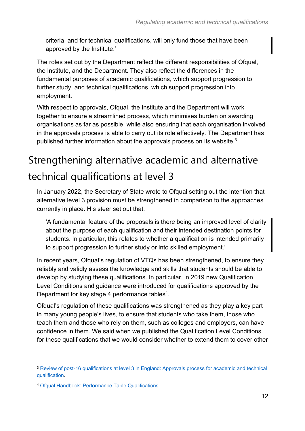criteria, and for technical qualifications, will only fund those that have been approved by the Institute.'

The roles set out by the Department reflect the different responsibilities of Ofqual, the Institute, and the Department. They also reflect the differences in the fundamental purposes of academic qualifications, which support progression to further study, and technical qualifications, which support progression into employment.

With respect to approvals, Ofqual, the Institute and the Department will work together to ensure a streamlined process, which minimises burden on awarding organisations as far as possible, while also ensuring that each organisation involved in the approvals process is able to carry out its role effectively. The Department has published further information about the approvals process on its website.<sup>3</sup>

# Strengthening alternative academic and alternative technical qualifications at level 3

In January 2022, the Secretary of State wrote to Ofqual setting out the intention that alternative level 3 provision must be strengthened in comparison to the approaches currently in place. His steer set out that:

'A fundamental feature of the proposals is there being an improved level of clarity about the purpose of each qualification and their intended destination points for students. In particular, this relates to whether a qualification is intended primarily to support progression to further study or into skilled employment.'

In recent years, Ofqual's regulation of VTQs has been strengthened, to ensure they reliably and validly assess the knowledge and skills that students should be able to develop by studying these qualifications. In particular, in 2019 new Qualification Level Conditions and guidance were introduced for qualifications approved by the Department for key stage 4 performance tables<sup>4</sup>.

Ofqual's regulation of these qualifications was strengthened as they play a key part in many young people's lives, to ensure that students who take them, those who teach them and those who rely on them, such as colleges and employers, can have confidence in them. We said when we published the Qualification Level Conditions for these qualifications that we would consider whether to extend them to cover other

<sup>3</sup> [Review of post-16 qualifications at level 3 in England: Approvals process for academic and technical](https://assets.publishing.service.gov.uk/government/uploads/system/uploads/attachment_data/file/1055474/Approvals_Process_2022_Update.pdf)  [qualification.](https://assets.publishing.service.gov.uk/government/uploads/system/uploads/attachment_data/file/1055474/Approvals_Process_2022_Update.pdf)

<sup>4</sup> [Ofqual Handbook: Performance Table Qualifications.](https://www.gov.uk/guidance/ofqual-handbook-performance-table-qualifications)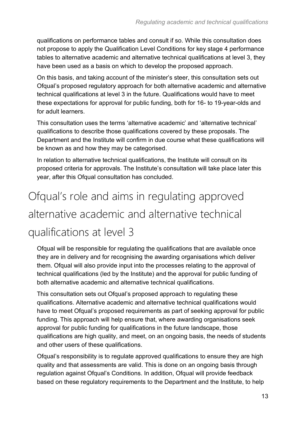qualifications on performance tables and consult if so. While this consultation does not propose to apply the Qualification Level Conditions for key stage 4 performance tables to alternative academic and alternative technical qualifications at level 3, they have been used as a basis on which to develop the proposed approach.

On this basis, and taking account of the minister's steer, this consultation sets out Ofqual's proposed regulatory approach for both alternative academic and alternative technical qualifications at level 3 in the future. Qualifications would have to meet these expectations for approval for public funding, both for 16- to 19-year-olds and for adult learners.

This consultation uses the terms 'alternative academic' and 'alternative technical' qualifications to describe those qualifications covered by these proposals. The Department and the Institute will confirm in due course what these qualifications will be known as and how they may be categorised.

In relation to alternative technical qualifications, the Institute will consult on its proposed criteria for approvals. The Institute's consultation will take place later this year, after this Ofqual consultation has concluded.

# <span id="page-12-0"></span>Ofqual's role and aims in regulating approved alternative academic and alternative technical qualifications at level 3

Ofqual will be responsible for regulating the qualifications that are available once they are in delivery and for recognising the awarding organisations which deliver them. Ofqual will also provide input into the processes relating to the approval of technical qualifications (led by the Institute) and the approval for public funding of both alternative academic and alternative technical qualifications.

This consultation sets out Ofqual's proposed approach to regulating these qualifications. Alternative academic and alternative technical qualifications would have to meet Ofqual's proposed requirements as part of seeking approval for public funding. This approach will help ensure that, where awarding organisations seek approval for public funding for qualifications in the future landscape, those qualifications are high quality, and meet, on an ongoing basis, the needs of students and other users of these qualifications.

Ofqual's responsibility is to regulate approved qualifications to ensure they are high quality and that assessments are valid. This is done on an ongoing basis through regulation against Ofqual's Conditions. In addition, Ofqual will provide feedback based on these regulatory requirements to the Department and the Institute, to help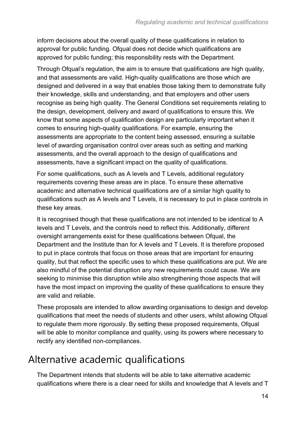inform decisions about the overall quality of these qualifications in relation to approval for public funding. Ofqual does not decide which qualifications are approved for public funding; this responsibility rests with the Department.

Through Ofqual's regulation, the aim is to ensure that qualifications are high quality, and that assessments are valid. High-quality qualifications are those which are designed and delivered in a way that enables those taking them to demonstrate fully their knowledge, skills and understanding, and that employers and other users recognise as being high quality. The General Conditions set requirements relating to the design, development, delivery and award of qualifications to ensure this. We know that some aspects of qualification design are particularly important when it comes to ensuring high-quality qualifications. For example, ensuring the assessments are appropriate to the content being assessed, ensuring a suitable level of awarding organisation control over areas such as setting and marking assessments, and the overall approach to the design of qualifications and assessments, have a significant impact on the quality of qualifications.

For some qualifications, such as A levels and T Levels, additional regulatory requirements covering these areas are in place. To ensure these alternative academic and alternative technical qualifications are of a similar high quality to qualifications such as A levels and T Levels, it is necessary to put in place controls in these key areas.

It is recognised though that these qualifications are not intended to be identical to A levels and T Levels, and the controls need to reflect this. Additionally, different oversight arrangements exist for these qualifications between Ofqual, the Department and the Institute than for A levels and T Levels. It is therefore proposed to put in place controls that focus on those areas that are important for ensuring quality, but that reflect the specific uses to which these qualifications are put. We are also mindful of the potential disruption any new requirements could cause. We are seeking to minimise this disruption while also strengthening those aspects that will have the most impact on improving the quality of these qualifications to ensure they are valid and reliable.

These proposals are intended to allow awarding organisations to design and develop qualifications that meet the needs of students and other users, whilst allowing Ofqual to regulate them more rigorously. By setting these proposed requirements, Ofqual will be able to monitor compliance and quality, using its powers where necessary to rectify any identified non-compliances.

### Alternative academic qualifications

The Department intends that students will be able to take alternative academic qualifications where there is a clear need for skills and knowledge that A levels and T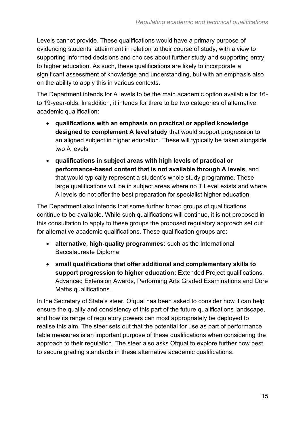Levels cannot provide. These qualifications would have a primary purpose of evidencing students' attainment in relation to their course of study, with a view to supporting informed decisions and choices about further study and supporting entry to higher education. As such, these qualifications are likely to incorporate a significant assessment of knowledge and understanding, but with an emphasis also on the ability to apply this in various contexts.

The Department intends for A levels to be the main academic option available for 16 to 19-year-olds. In addition, it intends for there to be two categories of alternative academic qualification:

- **qualifications with an emphasis on practical or applied knowledge designed to complement A level study** that would support progression to an aligned subject in higher education. These will typically be taken alongside two A levels
- **qualifications in subject areas with high levels of practical or performance-based content that is not available through A levels**, and that would typically represent a student's whole study programme. These large qualifications will be in subject areas where no T Level exists and where A levels do not offer the best preparation for specialist higher education

The Department also intends that some further broad groups of qualifications continue to be available. While such qualifications will continue, it is not proposed in this consultation to apply to these groups the proposed regulatory approach set out for alternative academic qualifications. These qualification groups are:

- **alternative, high-quality programmes:** such as the International Baccalaureate Diploma
- **small qualifications that offer additional and complementary skills to support progression to higher education:** Extended Project qualifications, Advanced Extension Awards, Performing Arts Graded Examinations and Core Maths qualifications.

In the Secretary of State's steer, Ofqual has been asked to consider how it can help ensure the quality and consistency of this part of the future qualifications landscape, and how its range of regulatory powers can most appropriately be deployed to realise this aim. The steer sets out that the potential for use as part of performance table measures is an important purpose of these qualifications when considering the approach to their regulation. The steer also asks Ofqual to explore further how best to secure grading standards in these alternative academic qualifications.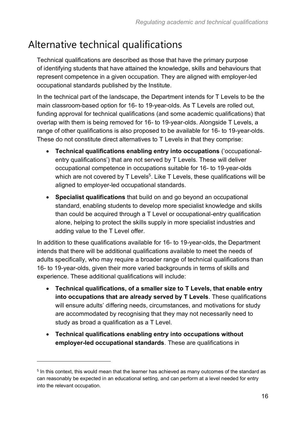### Alternative technical qualifications

Technical qualifications are described as those that have the primary purpose of identifying students that have attained the knowledge, skills and behaviours that represent competence in a given occupation. They are aligned with employer-led occupational standards published by the Institute.

In the technical part of the landscape, the Department intends for T Levels to be the main classroom-based option for 16- to 19-year-olds. As T Levels are rolled out, funding approval for technical qualifications (and some academic qualifications) that overlap with them is being removed for 16- to 19-year-olds. Alongside T Levels, a range of other qualifications is also proposed to be available for 16- to 19-year-olds. These do not constitute direct alternatives to T Levels in that they comprise:

- **Technical qualifications enabling entry into occupations** ('occupationalentry qualifications') that are not served by T Levels. These will deliver occupational competence in occupations suitable for 16- to 19-year-olds which are not covered by T Levels $^5$ . Like T Levels, these qualifications will be aligned to employer-led occupational standards.
- **Specialist qualifications** that build on and go beyond an occupational standard, enabling students to develop more specialist knowledge and skills than could be acquired through a T Level or occupational-entry qualification alone, helping to protect the skills supply in more specialist industries and adding value to the T Level offer.

In addition to these qualifications available for 16- to 19-year-olds, the Department intends that there will be additional qualifications available to meet the needs of adults specifically, who may require a broader range of technical qualifications than 16- to 19-year-olds, given their more varied backgrounds in terms of skills and experience. These additional qualifications will include:

- **Technical qualifications, of a smaller size to T Levels, that enable entry into occupations that are already served by T Levels**. These qualifications will ensure adults' differing needs, circumstances, and motivations for study are accommodated by recognising that they may not necessarily need to study as broad a qualification as a T Level.
- **Technical qualifications enabling entry into occupations without employer-led occupational standards**. These are qualifications in

 $^{\rm 5}$  In this context, this would mean that the learner has achieved as many outcomes of the standard as can reasonably be expected in an educational setting, and can perform at a level needed for entry into the relevant occupation.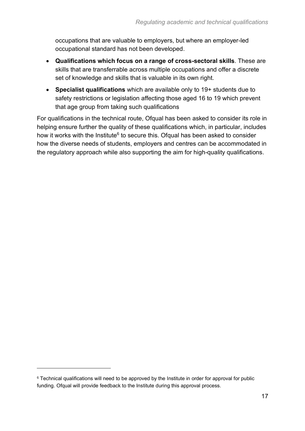occupations that are valuable to employers, but where an employer-led occupational standard has not been developed.

- **Qualifications which focus on a range of cross-sectoral skills**. These are skills that are transferrable across multiple occupations and offer a discrete set of knowledge and skills that is valuable in its own right.
- **Specialist qualifications** which are available only to 19+ students due to safety restrictions or legislation affecting those aged 16 to 19 which prevent that age group from taking such qualifications

For qualifications in the technical route, Ofqual has been asked to consider its role in helping ensure further the quality of these qualifications which, in particular, includes how it works with the Institute<sup>6</sup> to secure this. Ofqual has been asked to consider how the diverse needs of students, employers and centres can be accommodated in the regulatory approach while also supporting the aim for high-quality qualifications.

<sup>6</sup> Technical qualifications will need to be approved by the Institute in order for approval for public funding. Ofqual will provide feedback to the Institute during this approval process.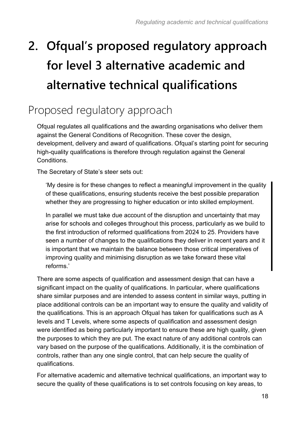# <span id="page-17-0"></span>**2. Ofqual's proposed regulatory approach for level 3 alternative academic and alternative technical qualifications**

## <span id="page-17-1"></span>Proposed regulatory approach

Ofqual regulates all qualifications and the awarding organisations who deliver them against the General Conditions of Recognition. These cover the design, development, delivery and award of qualifications. Ofqual's starting point for securing high-quality qualifications is therefore through regulation against the General Conditions.

The Secretary of State's steer sets out:

'My desire is for these changes to reflect a meaningful improvement in the quality of these qualifications, ensuring students receive the best possible preparation whether they are progressing to higher education or into skilled employment.

In parallel we must take due account of the disruption and uncertainty that may arise for schools and colleges throughout this process, particularly as we build to the first introduction of reformed qualifications from 2024 to 25. Providers have seen a number of changes to the qualifications they deliver in recent years and it is important that we maintain the balance between those critical imperatives of improving quality and minimising disruption as we take forward these vital reforms.'

There are some aspects of qualification and assessment design that can have a significant impact on the quality of qualifications. In particular, where qualifications share similar purposes and are intended to assess content in similar ways, putting in place additional controls can be an important way to ensure the quality and validity of the qualifications. This is an approach Ofqual has taken for qualifications such as A levels and T Levels, where some aspects of qualification and assessment design were identified as being particularly important to ensure these are high quality, given the purposes to which they are put. The exact nature of any additional controls can vary based on the purpose of the qualifications. Additionally, it is the combination of controls, rather than any one single control, that can help secure the quality of qualifications.

For alternative academic and alternative technical qualifications, an important way to secure the quality of these qualifications is to set controls focusing on key areas, to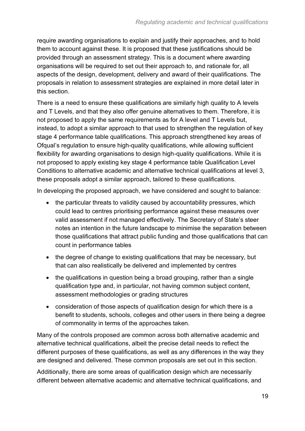require awarding organisations to explain and justify their approaches, and to hold them to account against these. It is proposed that these justifications should be provided through an assessment strategy. This is a document where awarding organisations will be required to set out their approach to, and rationale for, all aspects of the design, development, delivery and award of their qualifications. The proposals in relation to assessment strategies are explained in more detail later in this section.

There is a need to ensure these qualifications are similarly high quality to A levels and T Levels, and that they also offer genuine alternatives to them. Therefore, it is not proposed to apply the same requirements as for A level and T Levels but, instead, to adopt a similar approach to that used to strengthen the regulation of key stage 4 performance table qualifications. This approach strengthened key areas of Ofqual's regulation to ensure high-quality qualifications, while allowing sufficient flexibility for awarding organisations to design high-quality qualifications. While it is not proposed to apply existing key stage 4 performance table Qualification Level Conditions to alternative academic and alternative technical qualifications at level 3, these proposals adopt a similar approach, tailored to these qualifications.

In developing the proposed approach, we have considered and sought to balance:

- the particular threats to validity caused by accountability pressures, which could lead to centres prioritising performance against these measures over valid assessment if not managed effectively. The Secretary of State's steer notes an intention in the future landscape to minimise the separation between those qualifications that attract public funding and those qualifications that can count in performance tables
- the degree of change to existing qualifications that may be necessary, but that can also realistically be delivered and implemented by centres
- the qualifications in question being a broad grouping, rather than a single qualification type and, in particular, not having common subject content, assessment methodologies or grading structures
- consideration of those aspects of qualification design for which there is a benefit to students, schools, colleges and other users in there being a degree of commonality in terms of the approaches taken.

Many of the controls proposed are common across both alternative academic and alternative technical qualifications, albeit the precise detail needs to reflect the different purposes of these qualifications, as well as any differences in the way they are designed and delivered. These common proposals are set out in this section.

Additionally, there are some areas of qualification design which are necessarily different between alternative academic and alternative technical qualifications, and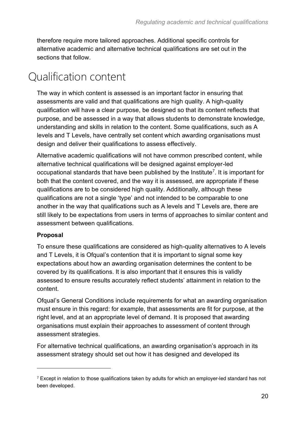therefore require more tailored approaches. Additional specific controls for alternative academic and alternative technical qualifications are set out in the sections that follow.

# <span id="page-19-0"></span>Qualification content

The way in which content is assessed is an important factor in ensuring that assessments are valid and that qualifications are high quality. A high-quality qualification will have a clear purpose, be designed so that its content reflects that purpose, and be assessed in a way that allows students to demonstrate knowledge, understanding and skills in relation to the content. Some qualifications, such as A levels and T Levels, have centrally set content which awarding organisations must design and deliver their qualifications to assess effectively.

Alternative academic qualifications will not have common prescribed content, while alternative technical qualifications will be designed against employer-led occupational standards that have been published by the Institute<sup>7</sup>. It is important for both that the content covered, and the way it is assessed, are appropriate if these qualifications are to be considered high quality. Additionally, although these qualifications are not a single 'type' and not intended to be comparable to one another in the way that qualifications such as A levels and T Levels are, there are still likely to be expectations from users in terms of approaches to similar content and assessment between qualifications.

#### **Proposal**

To ensure these qualifications are considered as high-quality alternatives to A levels and T Levels, it is Ofqual's contention that it is important to signal some key expectations about how an awarding organisation determines the content to be covered by its qualifications. It is also important that it ensures this is validly assessed to ensure results accurately reflect students' attainment in relation to the content.

Ofqual's General Conditions include requirements for what an awarding organisation must ensure in this regard: for example, that assessments are fit for purpose, at the right level, and at an appropriate level of demand. It is proposed that awarding organisations must explain their approaches to assessment of content through assessment strategies.

For alternative technical qualifications, an awarding organisation's approach in its assessment strategy should set out how it has designed and developed its

 $7$  Except in relation to those qualifications taken by adults for which an employer-led standard has not been developed.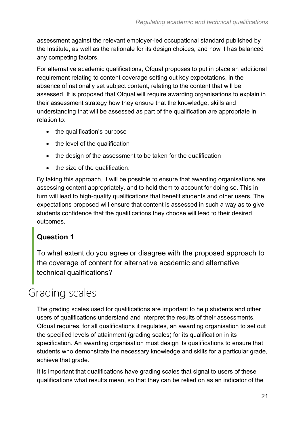assessment against the relevant employer-led occupational standard published by the Institute, as well as the rationale for its design choices, and how it has balanced any competing factors.

For alternative academic qualifications, Ofqual proposes to put in place an additional requirement relating to content coverage setting out key expectations, in the absence of nationally set subject content, relating to the content that will be assessed. It is proposed that Ofqual will require awarding organisations to explain in their assessment strategy how they ensure that the knowledge, skills and understanding that will be assessed as part of the qualification are appropriate in relation to:

- the qualification's purpose
- the level of the qualification
- the design of the assessment to be taken for the qualification
- the size of the qualification.

By taking this approach, it will be possible to ensure that awarding organisations are assessing content appropriately, and to hold them to account for doing so. This in turn will lead to high-quality qualifications that benefit students and other users. The expectations proposed will ensure that content is assessed in such a way as to give students confidence that the qualifications they choose will lead to their desired outcomes.

#### **Question 1**

To what extent do you agree or disagree with the proposed approach to the coverage of content for alternative academic and alternative technical qualifications?

# <span id="page-20-0"></span>Grading scales

The grading scales used for qualifications are important to help students and other users of qualifications understand and interpret the results of their assessments. Ofqual requires, for all qualifications it regulates, an awarding organisation to set out the specified levels of attainment (grading scales) for its qualification in its specification. An awarding organisation must design its qualifications to ensure that students who demonstrate the necessary knowledge and skills for a particular grade, achieve that grade.

It is important that qualifications have grading scales that signal to users of these qualifications what results mean, so that they can be relied on as an indicator of the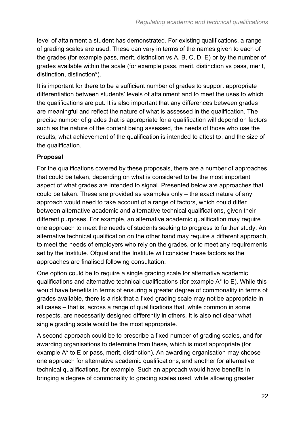level of attainment a student has demonstrated. For existing qualifications, a range of grading scales are used. These can vary in terms of the names given to each of the grades (for example pass, merit, distinction vs A, B, C, D, E) or by the number of grades available within the scale (for example pass, merit, distinction vs pass, merit, distinction, distinction\*).

It is important for there to be a sufficient number of grades to support appropriate differentiation between students' levels of attainment and to meet the uses to which the qualifications are put. It is also important that any differences between grades are meaningful and reflect the nature of what is assessed in the qualification. The precise number of grades that is appropriate for a qualification will depend on factors such as the nature of the content being assessed, the needs of those who use the results, what achievement of the qualification is intended to attest to, and the size of the qualification.

#### **Proposal**

For the qualifications covered by these proposals, there are a number of approaches that could be taken, depending on what is considered to be the most important aspect of what grades are intended to signal. Presented below are approaches that could be taken. These are provided as examples only – the exact nature of any approach would need to take account of a range of factors, which could differ between alternative academic and alternative technical qualifications, given their different purposes. For example, an alternative academic qualification may require one approach to meet the needs of students seeking to progress to further study. An alternative technical qualification on the other hand may require a different approach, to meet the needs of employers who rely on the grades, or to meet any requirements set by the Institute. Ofqual and the Institute will consider these factors as the approaches are finalised following consultation.

One option could be to require a single grading scale for alternative academic qualifications and alternative technical qualifications (for example A\* to E). While this would have benefits in terms of ensuring a greater degree of commonality in terms of grades available, there is a risk that a fixed grading scale may not be appropriate in all cases – that is, across a range of qualifications that, while common in some respects, are necessarily designed differently in others. It is also not clear what single grading scale would be the most appropriate.

A second approach could be to prescribe a fixed number of grading scales, and for awarding organisations to determine from these, which is most appropriate (for example A\* to E or pass, merit, distinction). An awarding organisation may choose one approach for alternative academic qualifications, and another for alternative technical qualifications, for example. Such an approach would have benefits in bringing a degree of commonality to grading scales used, while allowing greater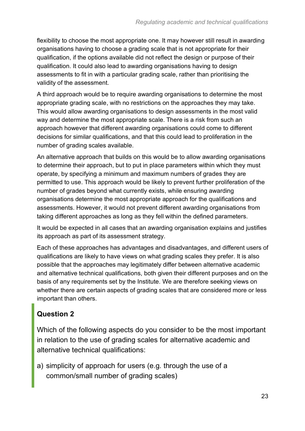flexibility to choose the most appropriate one. It may however still result in awarding organisations having to choose a grading scale that is not appropriate for their qualification, if the options available did not reflect the design or purpose of their qualification. It could also lead to awarding organisations having to design assessments to fit in with a particular grading scale, rather than prioritising the validity of the assessment.

A third approach would be to require awarding organisations to determine the most appropriate grading scale, with no restrictions on the approaches they may take. This would allow awarding organisations to design assessments in the most valid way and determine the most appropriate scale. There is a risk from such an approach however that different awarding organisations could come to different decisions for similar qualifications, and that this could lead to proliferation in the number of grading scales available.

An alternative approach that builds on this would be to allow awarding organisations to determine their approach, but to put in place parameters within which they must operate, by specifying a minimum and maximum numbers of grades they are permitted to use. This approach would be likely to prevent further proliferation of the number of grades beyond what currently exists, while ensuring awarding organisations determine the most appropriate approach for the qualifications and assessments. However, it would not prevent different awarding organisations from taking different approaches as long as they fell within the defined parameters.

It would be expected in all cases that an awarding organisation explains and justifies its approach as part of its assessment strategy.

Each of these approaches has advantages and disadvantages, and different users of qualifications are likely to have views on what grading scales they prefer. It is also possible that the approaches may legitimately differ between alternative academic and alternative technical qualifications, both given their different purposes and on the basis of any requirements set by the Institute. We are therefore seeking views on whether there are certain aspects of grading scales that are considered more or less important than others.

### **Question 2**

Which of the following aspects do you consider to be the most important in relation to the use of grading scales for alternative academic and alternative technical qualifications:

a) simplicity of approach for users (e.g. through the use of a common/small number of grading scales)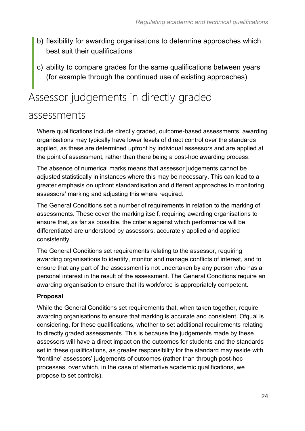- b) flexibility for awarding organisations to determine approaches which best suit their qualifications
- c) ability to compare grades for the same qualifications between years (for example through the continued use of existing approaches)

# <span id="page-23-0"></span>Assessor judgements in directly graded

### assessments

Where qualifications include directly graded, outcome-based assessments, awarding organisations may typically have lower levels of direct control over the standards applied, as these are determined upfront by individual assessors and are applied at the point of assessment, rather than there being a post-hoc awarding process.

The absence of numerical marks means that assessor judgements cannot be adjusted statistically in instances where this may be necessary. This can lead to a greater emphasis on upfront standardisation and different approaches to monitoring assessors' marking and adjusting this where required.

The General Conditions set a number of requirements in relation to the marking of assessments. These cover the marking itself, requiring awarding organisations to ensure that, as far as possible, the criteria against which performance will be differentiated are understood by assessors, accurately applied and applied consistently.

The General Conditions set requirements relating to the assessor, requiring awarding organisations to identify, monitor and manage conflicts of interest, and to ensure that any part of the assessment is not undertaken by any person who has a personal interest in the result of the assessment. The General Conditions require an awarding organisation to ensure that its workforce is appropriately competent.

#### **Proposal**

While the General Conditions set requirements that, when taken together, require awarding organisations to ensure that marking is accurate and consistent, Ofqual is considering, for these qualifications, whether to set additional requirements relating to directly graded assessments. This is because the judgements made by these assessors will have a direct impact on the outcomes for students and the standards set in these qualifications, as greater responsibility for the standard may reside with 'frontline' assessors' judgements of outcomes (rather than through post-hoc processes, over which, in the case of alternative academic qualifications, we propose to set controls).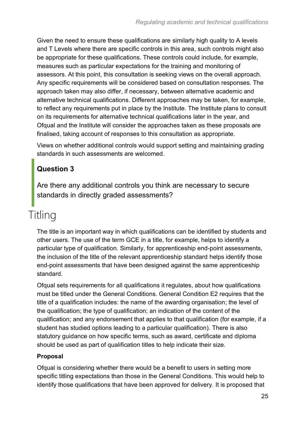Given the need to ensure these qualifications are similarly high quality to A levels and T Levels where there are specific controls in this area, such controls might also be appropriate for these qualifications. These controls could include, for example, measures such as particular expectations for the training and monitoring of assessors. At this point, this consultation is seeking views on the overall approach. Any specific requirements will be considered based on consultation responses. The approach taken may also differ, if necessary, between alternative academic and alternative technical qualifications. Different approaches may be taken, for example, to reflect any requirements put in place by the Institute. The Institute plans to consult on its requirements for alternative technical qualifications later in the year, and Ofqual and the Institute will consider the approaches taken as these proposals are finalised, taking account of responses to this consultation as appropriate.

Views on whether additional controls would support setting and maintaining grading standards in such assessments are welcomed.

### **Question 3**

Are there any additional controls you think are necessary to secure standards in directly graded assessments?

# <span id="page-24-0"></span>Titling

The title is an important way in which qualifications can be identified by students and other users. The use of the term GCE in a title, for example, helps to identify a particular type of qualification. Similarly, for apprenticeship end-point assessments, the inclusion of the title of the relevant apprenticeship standard helps identify those end-point assessments that have been designed against the same apprenticeship standard.

Ofqual sets requirements for all qualifications it regulates, about how qualifications must be titled under the General Conditions. General Condition E2 requires that the title of a qualification includes: the name of the awarding organisation; the level of the qualification; the type of qualification; an indication of the content of the qualification; and any endorsement that applies to that qualification (for example, if a student has studied options leading to a particular qualification). There is also statutory guidance on how specific terms, such as award, certificate and diploma should be used as part of qualification titles to help indicate their size.

#### **Proposal**

Ofqual is considering whether there would be a benefit to users in setting more specific titling expectations than those in the General Conditions. This would help to identify those qualifications that have been approved for delivery. It is proposed that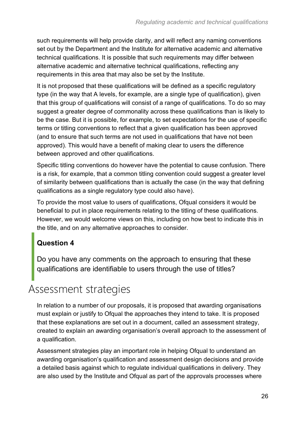such requirements will help provide clarity, and will reflect any naming conventions set out by the Department and the Institute for alternative academic and alternative technical qualifications. It is possible that such requirements may differ between alternative academic and alternative technical qualifications, reflecting any requirements in this area that may also be set by the Institute.

It is not proposed that these qualifications will be defined as a specific regulatory type (in the way that A levels, for example, are a single type of qualification), given that this group of qualifications will consist of a range of qualifications. To do so may suggest a greater degree of commonality across these qualifications than is likely to be the case. But it is possible, for example, to set expectations for the use of specific terms or titling conventions to reflect that a given qualification has been approved (and to ensure that such terms are not used in qualifications that have not been approved). This would have a benefit of making clear to users the difference between approved and other qualifications.

Specific titling conventions do however have the potential to cause confusion. There is a risk, for example, that a common titling convention could suggest a greater level of similarity between qualifications than is actually the case (in the way that defining qualifications as a single regulatory type could also have).

To provide the most value to users of qualifications, Ofqual considers it would be beneficial to put in place requirements relating to the titling of these qualifications. However, we would welcome views on this, including on how best to indicate this in the title, and on any alternative approaches to consider.

#### **Question 4**

Do you have any comments on the approach to ensuring that these qualifications are identifiable to users through the use of titles?

## <span id="page-25-0"></span>Assessment strategies

In relation to a number of our proposals, it is proposed that awarding organisations must explain or justify to Ofqual the approaches they intend to take. It is proposed that these explanations are set out in a document, called an assessment strategy, created to explain an awarding organisation's overall approach to the assessment of a qualification.

Assessment strategies play an important role in helping Ofqual to understand an awarding organisation's qualification and assessment design decisions and provide a detailed basis against which to regulate individual qualifications in delivery. They are also used by the Institute and Ofqual as part of the approvals processes where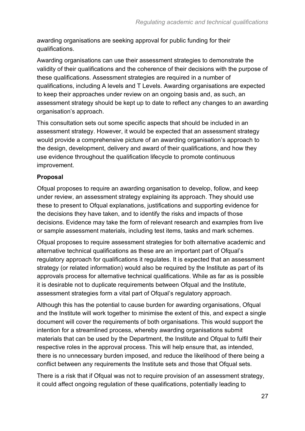awarding organisations are seeking approval for public funding for their qualifications.

Awarding organisations can use their assessment strategies to demonstrate the validity of their qualifications and the coherence of their decisions with the purpose of these qualifications. Assessment strategies are required in a number of qualifications, including A levels and T Levels. Awarding organisations are expected to keep their approaches under review on an ongoing basis and, as such, an assessment strategy should be kept up to date to reflect any changes to an awarding organisation's approach.

This consultation sets out some specific aspects that should be included in an assessment strategy. However, it would be expected that an assessment strategy would provide a comprehensive picture of an awarding organisation's approach to the design, development, delivery and award of their qualifications, and how they use evidence throughout the qualification lifecycle to promote continuous improvement.

#### **Proposal**

Ofqual proposes to require an awarding organisation to develop, follow, and keep under review, an assessment strategy explaining its approach. They should use these to present to Ofqual explanations, justifications and supporting evidence for the decisions they have taken, and to identify the risks and impacts of those decisions. Evidence may take the form of relevant research and examples from live or sample assessment materials, including test items, tasks and mark schemes.

Ofqual proposes to require assessment strategies for both alternative academic and alternative technical qualifications as these are an important part of Ofqual's regulatory approach for qualifications it regulates. It is expected that an assessment strategy (or related information) would also be required by the Institute as part of its approvals process for alternative technical qualifications. While as far as is possible it is desirable not to duplicate requirements between Ofqual and the Institute, assessment strategies form a vital part of Ofqual's regulatory approach.

Although this has the potential to cause burden for awarding organisations, Ofqual and the Institute will work together to minimise the extent of this, and expect a single document will cover the requirements of both organisations. This would support the intention for a streamlined process, whereby awarding organisations submit materials that can be used by the Department, the Institute and Ofqual to fulfil their respective roles in the approval process. This will help ensure that, as intended, there is no unnecessary burden imposed, and reduce the likelihood of there being a conflict between any requirements the Institute sets and those that Ofqual sets.

There is a risk that if Ofqual was not to require provision of an assessment strategy, it could affect ongoing regulation of these qualifications, potentially leading to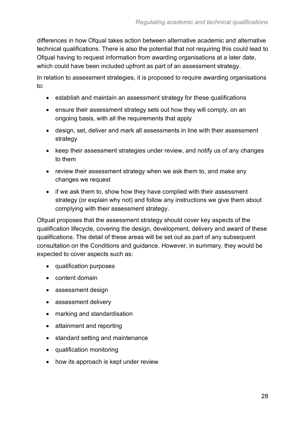differences in how Ofqual takes action between alternative academic and alternative technical qualifications. There is also the potential that not requiring this could lead to Ofqual having to request information from awarding organisations at a later date, which could have been included upfront as part of an assessment strategy.

In relation to assessment strategies, it is proposed to require awarding organisations to:

- establish and maintain an assessment strategy for these qualifications
- ensure their assessment strategy sets out how they will comply, on an ongoing basis, with all the requirements that apply
- design, set, deliver and mark all assessments in line with their assessment strategy
- keep their assessment strategies under review, and notify us of any changes to them
- review their assessment strategy when we ask them to, and make any changes we request
- if we ask them to, show how they have complied with their assessment strategy (or explain why not) and follow any instructions we give them about complying with their assessment strategy.

Ofqual proposes that the assessment strategy should cover key aspects of the qualification lifecycle, covering the design, development, delivery and award of these qualifications. The detail of these areas will be set out as part of any subsequent consultation on the Conditions and guidance. However, in summary, they would be expected to cover aspects such as:

- qualification purposes
- content domain
- assessment design
- assessment delivery
- marking and standardisation
- attainment and reporting
- standard setting and maintenance
- qualification monitoring
- how its approach is kept under review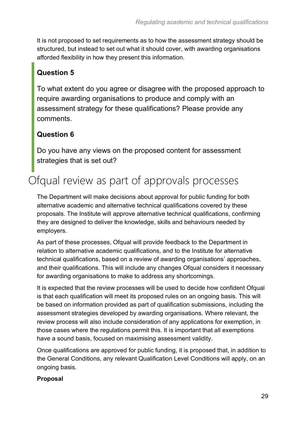It is not proposed to set requirements as to how the assessment strategy should be structured, but instead to set out what it should cover, with awarding organisations afforded flexibility in how they present this information.

### **Question 5**

To what extent do you agree or disagree with the proposed approach to require awarding organisations to produce and comply with an assessment strategy for these qualifications? Please provide any comments.

### **Question 6**

Do you have any views on the proposed content for assessment strategies that is set out?

# <span id="page-28-0"></span>Ofqual review as part of approvals processes

The Department will make decisions about approval for public funding for both alternative academic and alternative technical qualifications covered by these proposals. The Institute will approve alternative technical qualifications, confirming they are designed to deliver the knowledge, skills and behaviours needed by employers.

As part of these processes, Ofqual will provide feedback to the Department in relation to alternative academic qualifications, and to the Institute for alternative technical qualifications, based on a review of awarding organisations' approaches, and their qualifications. This will include any changes Ofqual considers it necessary for awarding organisations to make to address any shortcomings.

It is expected that the review processes will be used to decide how confident Ofqual is that each qualification will meet its proposed rules on an ongoing basis. This will be based on information provided as part of qualification submissions, including the assessment strategies developed by awarding organisations. Where relevant, the review process will also include consideration of any applications for exemption, in those cases where the regulations permit this. It is important that all exemptions have a sound basis, focused on maximising assessment validity.

Once qualifications are approved for public funding, it is proposed that, in addition to the General Conditions, any relevant Qualification Level Conditions will apply, on an ongoing basis.

#### **Proposal**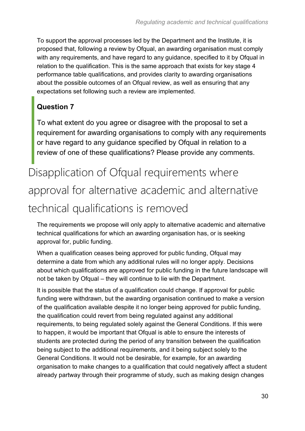To support the approval processes led by the Department and the Institute, it is proposed that, following a review by Ofqual, an awarding organisation must comply with any requirements, and have regard to any guidance, specified to it by Ofqual in relation to the qualification. This is the same approach that exists for key stage 4 performance table qualifications, and provides clarity to awarding organisations about the possible outcomes of an Ofqual review, as well as ensuring that any expectations set following such a review are implemented.

### **Question 7**

To what extent do you agree or disagree with the proposal to set a requirement for awarding organisations to comply with any requirements or have regard to any guidance specified by Ofqual in relation to a review of one of these qualifications? Please provide any comments.

# <span id="page-29-0"></span>Disapplication of Ofqual requirements where approval for alternative academic and alternative technical qualifications is removed

The requirements we propose will only apply to alternative academic and alternative technical qualifications for which an awarding organisation has, or is seeking approval for, public funding.

When a qualification ceases being approved for public funding, Ofqual may determine a date from which any additional rules will no longer apply. Decisions about which qualifications are approved for public funding in the future landscape will not be taken by Ofqual – they will continue to lie with the Department.

It is possible that the status of a qualification could change. If approval for public funding were withdrawn, but the awarding organisation continued to make a version of the qualification available despite it no longer being approved for public funding, the qualification could revert from being regulated against any additional requirements, to being regulated solely against the General Conditions. If this were to happen, it would be important that Ofqual is able to ensure the interests of students are protected during the period of any transition between the qualification being subject to the additional requirements, and it being subject solely to the General Conditions. It would not be desirable, for example, for an awarding organisation to make changes to a qualification that could negatively affect a student already partway through their programme of study, such as making design changes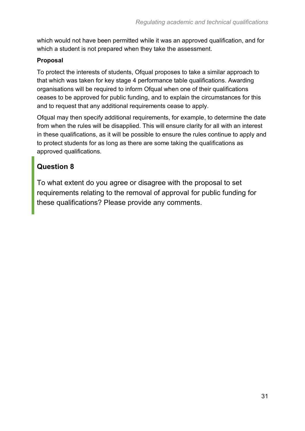which would not have been permitted while it was an approved qualification, and for which a student is not prepared when they take the assessment.

#### **Proposal**

To protect the interests of students, Ofqual proposes to take a similar approach to that which was taken for key stage 4 performance table qualifications. Awarding organisations will be required to inform Ofqual when one of their qualifications ceases to be approved for public funding, and to explain the circumstances for this and to request that any additional requirements cease to apply.

Ofqual may then specify additional requirements, for example, to determine the date from when the rules will be disapplied. This will ensure clarity for all with an interest in these qualifications, as it will be possible to ensure the rules continue to apply and to protect students for as long as there are some taking the qualifications as approved qualifications.

#### **Question 8**

To what extent do you agree or disagree with the proposal to set requirements relating to the removal of approval for public funding for these qualifications? Please provide any comments.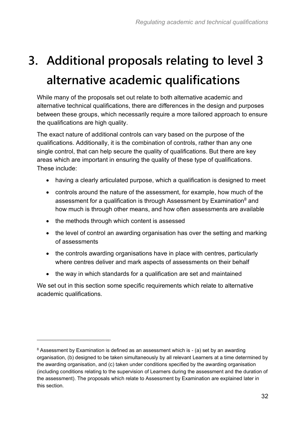# <span id="page-31-0"></span>**3. Additional proposals relating to level 3 alternative academic qualifications**

While many of the proposals set out relate to both alternative academic and alternative technical qualifications, there are differences in the design and purposes between these groups, which necessarily require a more tailored approach to ensure the qualifications are high quality.

The exact nature of additional controls can vary based on the purpose of the qualifications. Additionally, it is the combination of controls, rather than any one single control, that can help secure the quality of qualifications. But there are key areas which are important in ensuring the quality of these type of qualifications. These include:

- having a clearly articulated purpose, which a qualification is designed to meet
- controls around the nature of the assessment, for example, how much of the assessment for a qualification is through Assessment by Examination $8$  and how much is through other means, and how often assessments are available
- the methods through which content is assessed
- the level of control an awarding organisation has over the setting and marking of assessments
- the controls awarding organisations have in place with centres, particularly where centres deliver and mark aspects of assessments on their behalf
- the way in which standards for a qualification are set and maintained

We set out in this section some specific requirements which relate to alternative academic qualifications.

<sup>&</sup>lt;sup>8</sup> Assessment by Examination is defined as an assessment which is - (a) set by an awarding organisation, (b) designed to be taken simultaneously by all relevant Learners at a time determined by the awarding organisation, and (c) taken under conditions specified by the awarding organisation (including conditions relating to the supervision of Learners during the assessment and the duration of the assessment). The proposals which relate to Assessment by Examination are explained later in this section.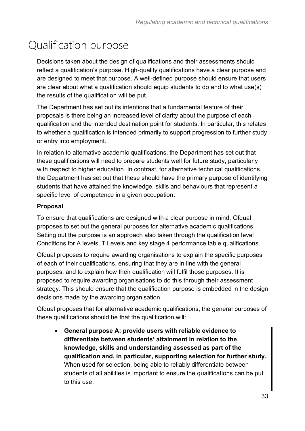# <span id="page-32-0"></span>Qualification purpose

Decisions taken about the design of qualifications and their assessments should reflect a qualification's purpose. High-quality qualifications have a clear purpose and are designed to meet that purpose. A well-defined purpose should ensure that users are clear about what a qualification should equip students to do and to what use(s) the results of the qualification will be put.

The Department has set out its intentions that a fundamental feature of their proposals is there being an increased level of clarity about the purpose of each qualification and the intended destination point for students. In particular, this relates to whether a qualification is intended primarily to support progression to further study or entry into employment.

In relation to alternative academic qualifications, the Department has set out that these qualifications will need to prepare students well for future study, particularly with respect to higher education. In contrast, for alternative technical qualifications, the Department has set out that these should have the primary purpose of identifying students that have attained the knowledge, skills and behaviours that represent a specific level of competence in a given occupation.

#### **Proposal**

To ensure that qualifications are designed with a clear purpose in mind, Ofqual proposes to set out the general purposes for alternative academic qualifications. Setting out the purpose is an approach also taken through the qualification level Conditions for A levels, T Levels and key stage 4 performance table qualifications.

Ofqual proposes to require awarding organisations to explain the specific purposes of each of their qualifications, ensuring that they are in line with the general purposes, and to explain how their qualification will fulfil those purposes. It is proposed to require awarding organisations to do this through their assessment strategy. This should ensure that the qualification purpose is embedded in the design decisions made by the awarding organisation.

Ofqual proposes that for alternative academic qualifications, the general purposes of these qualifications should be that the qualification will:

• **General purpose A: provide users with reliable evidence to differentiate between students' attainment in relation to the knowledge, skills and understanding assessed as part of the qualification and, in particular, supporting selection for further study.**  When used for selection, being able to reliably differentiate between students of all abilities is important to ensure the qualifications can be put to this use.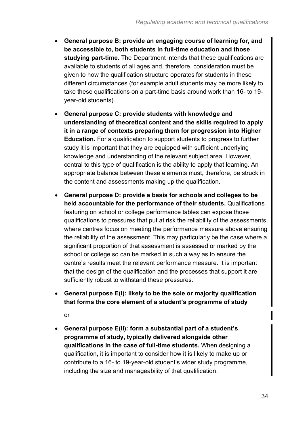- **General purpose B: provide an engaging course of learning for, and be accessible to, both students in full-time education and those studying part-time.** The Department intends that these qualifications are available to students of all ages and, therefore, consideration must be given to how the qualification structure operates for students in these different circumstances (for example adult students may be more likely to take these qualifications on a part-time basis around work than 16- to 19 year-old students).
- **General purpose C: provide students with knowledge and understanding of theoretical content and the skills required to apply it in a range of contexts preparing them for progression into Higher Education.** For a qualification to support students to progress to further study it is important that they are equipped with sufficient underlying knowledge and understanding of the relevant subject area. However, central to this type of qualification is the ability to apply that learning. An appropriate balance between these elements must, therefore, be struck in the content and assessments making up the qualification.
- **General purpose D: provide a basis for schools and colleges to be held accountable for the performance of their students.** Qualifications featuring on school or college performance tables can expose those qualifications to pressures that put at risk the reliability of the assessments, where centres focus on meeting the performance measure above ensuring the reliability of the assessment. This may particularly be the case where a significant proportion of that assessment is assessed or marked by the school or college so can be marked in such a way as to ensure the centre's results meet the relevant performance measure. It is important that the design of the qualification and the processes that support it are sufficiently robust to withstand these pressures.
- **General purpose E(i): likely to be the sole or majority qualification that forms the core element of a student's programme of study**

or

• **General purpose E(ii): form a substantial part of a student's programme of study, typically delivered alongside other qualifications in the case of full-time students.** When designing a qualification, it is important to consider how it is likely to make up or contribute to a 16- to 19-year-old student's wider study programme, including the size and manageability of that qualification.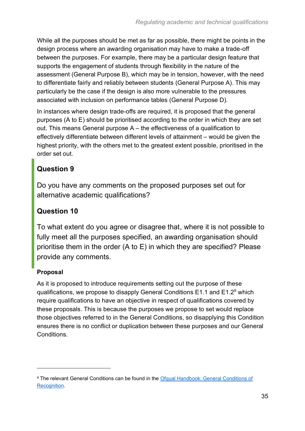While all the purposes should be met as far as possible, there might be points in the design process where an awarding organisation may have to make a trade-off between the purposes. For example, there may be a particular design feature that supports the engagement of students through flexibility in the nature of the assessment (General Purpose B), which may be in tension, however, with the need to differentiate fairly and reliably between students (General Purpose A). This may particularly be the case if the design is also more vulnerable to the pressures associated with inclusion on performance tables (General Purpose D).

In instances where design trade-offs are required, it is proposed that the general purposes (A to E) should be prioritised according to the order in which they are set out. This means General purpose A – the effectiveness of a qualification to effectively differentiate between different levels of attainment – would be given the highest priority, with the others met to the greatest extent possible, prioritised in the order set out.

### **Question 9**

Do you have any comments on the proposed purposes set out for alternative academic qualifications?

### **Question 10**

To what extent do you agree or disagree that, where it is not possible to fully meet all the purposes specified, an awarding organisation should prioritise them in the order (A to E) in which they are specified? Please provide any comments.

#### **Proposal**

As it is proposed to introduce requirements setting out the purpose of these qualifications, we propose to disapply General Conditions  $E1.1$  and  $E1.2<sup>9</sup>$  which require qualifications to have an objective in respect of qualifications covered by these proposals. This is because the purposes we propose to set would replace those objectives referred to in the General Conditions, so disapplying this Condition ensures there is no conflict or duplication between these purposes and our General Conditions.

<sup>9</sup> The relevant General Conditions can be found in the Ofqual Handbook: General Conditions of [Recognition.](https://www.gov.uk/guidance/ofqual-handbook/section-e-design-and-development-of-qualifications)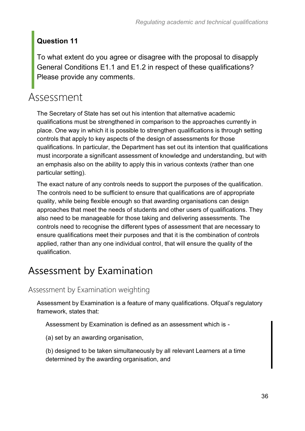### **Question 11**

To what extent do you agree or disagree with the proposal to disapply General Conditions E1.1 and E1.2 in respect of these qualifications? Please provide any comments.

# <span id="page-35-0"></span>Assessment

The Secretary of State has set out his intention that alternative academic qualifications must be strengthened in comparison to the approaches currently in place. One way in which it is possible to strengthen qualifications is through setting controls that apply to key aspects of the design of assessments for those qualifications. In particular, the Department has set out its intention that qualifications must incorporate a significant assessment of knowledge and understanding, but with an emphasis also on the ability to apply this in various contexts (rather than one particular setting).

The exact nature of any controls needs to support the purposes of the qualification. The controls need to be sufficient to ensure that qualifications are of appropriate quality, while being flexible enough so that awarding organisations can design approaches that meet the needs of students and other users of qualifications. They also need to be manageable for those taking and delivering assessments. The controls need to recognise the different types of assessment that are necessary to ensure qualifications meet their purposes and that it is the combination of controls applied, rather than any one individual control, that will ensure the quality of the qualification.

## Assessment by Examination

#### Assessment by Examination weighting

Assessment by Examination is a feature of many qualifications. Ofqual's regulatory framework, states that:

Assessment by Examination is defined as an assessment which is -

(a) set by an awarding organisation,

(b) designed to be taken simultaneously by all relevant Learners at a time determined by the awarding organisation, and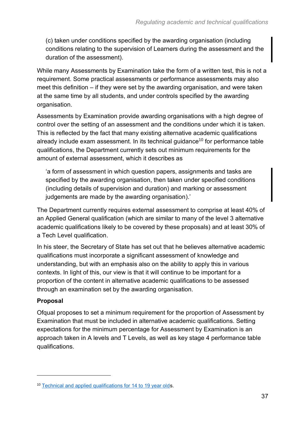(c) taken under conditions specified by the awarding organisation (including conditions relating to the supervision of Learners during the assessment and the duration of the assessment).

While many Assessments by Examination take the form of a written test, this is not a requirement. Some practical assessments or performance assessments may also meet this definition – if they were set by the awarding organisation, and were taken at the same time by all students, and under controls specified by the awarding organisation.

Assessments by Examination provide awarding organisations with a high degree of control over the setting of an assessment and the conditions under which it is taken. This is reflected by the fact that many existing alternative academic qualifications already include exam assessment. In its technical quidance<sup>10</sup> for performance table qualifications, the Department currently sets out minimum requirements for the amount of external assessment, which it describes as

'a form of assessment in which question papers, assignments and tasks are specified by the awarding organisation, then taken under specified conditions (including details of supervision and duration) and marking or assessment judgements are made by the awarding organisation).'

The Department currently requires external assessment to comprise at least 40% of an Applied General qualification (which are similar to many of the level 3 alternative academic qualifications likely to be covered by these proposals) and at least 30% of a Tech Level qualification.

In his steer, the Secretary of State has set out that he believes alternative academic qualifications must incorporate a significant assessment of knowledge and understanding, but with an emphasis also on the ability to apply this in various contexts. In light of this, our view is that it will continue to be important for a proportion of the content in alternative academic qualifications to be assessed through an examination set by the awarding organisation.

#### **Proposal**

Ofqual proposes to set a minimum requirement for the proportion of Assessment by Examination that must be included in alternative academic qualifications. Setting expectations for the minimum percentage for Assessment by Examination is an approach taken in A levels and T Levels, as well as key stage 4 performance table qualifications.

<sup>10</sup> [Technical and applied qualifications for 14 to 19 year olds](https://assets.publishing.service.gov.uk/government/uploads/system/uploads/attachment_data/file/661918/2020_Technical_Guidance.pdf).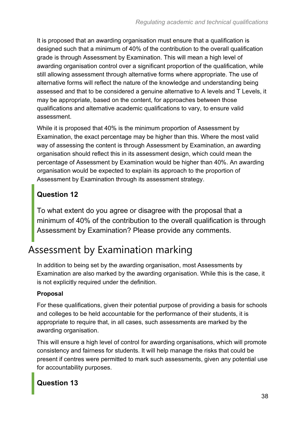It is proposed that an awarding organisation must ensure that a qualification is designed such that a minimum of 40% of the contribution to the overall qualification grade is through Assessment by Examination. This will mean a high level of awarding organisation control over a significant proportion of the qualification, while still allowing assessment through alternative forms where appropriate. The use of alternative forms will reflect the nature of the knowledge and understanding being assessed and that to be considered a genuine alternative to A levels and T Levels, it may be appropriate, based on the content, for approaches between those qualifications and alternative academic qualifications to vary, to ensure valid assessment.

While it is proposed that 40% is the minimum proportion of Assessment by Examination, the exact percentage may be higher than this. Where the most valid way of assessing the content is through Assessment by Examination, an awarding organisation should reflect this in its assessment design, which could mean the percentage of Assessment by Examination would be higher than 40%. An awarding organisation would be expected to explain its approach to the proportion of Assessment by Examination through its assessment strategy.

### **Question 12**

To what extent do you agree or disagree with the proposal that a minimum of 40% of the contribution to the overall qualification is through Assessment by Examination? Please provide any comments.

## Assessment by Examination marking

In addition to being set by the awarding organisation, most Assessments by Examination are also marked by the awarding organisation. While this is the case, it is not explicitly required under the definition.

#### **Proposal**

For these qualifications, given their potential purpose of providing a basis for schools and colleges to be held accountable for the performance of their students, it is appropriate to require that, in all cases, such assessments are marked by the awarding organisation.

This will ensure a high level of control for awarding organisations, which will promote consistency and fairness for students. It will help manage the risks that could be present if centres were permitted to mark such assessments, given any potential use for accountability purposes.

### **Question 13**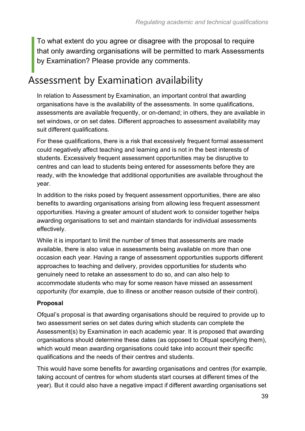To what extent do you agree or disagree with the proposal to require that only awarding organisations will be permitted to mark Assessments by Examination? Please provide any comments.

### Assessment by Examination availability

In relation to Assessment by Examination, an important control that awarding organisations have is the availability of the assessments. In some qualifications, assessments are available frequently, or on-demand; in others, they are available in set windows, or on set dates. Different approaches to assessment availability may suit different qualifications.

For these qualifications, there is a risk that excessively frequent formal assessment could negatively affect teaching and learning and is not in the best interests of students. Excessively frequent assessment opportunities may be disruptive to centres and can lead to students being entered for assessments before they are ready, with the knowledge that additional opportunities are available throughout the year.

In addition to the risks posed by frequent assessment opportunities, there are also benefits to awarding organisations arising from allowing less frequent assessment opportunities. Having a greater amount of student work to consider together helps awarding organisations to set and maintain standards for individual assessments effectively.

While it is important to limit the number of times that assessments are made available, there is also value in assessments being available on more than one occasion each year. Having a range of assessment opportunities supports different approaches to teaching and delivery, provides opportunities for students who genuinely need to retake an assessment to do so, and can also help to accommodate students who may for some reason have missed an assessment opportunity (for example, due to illness or another reason outside of their control).

#### **Proposal**

Ofqual's proposal is that awarding organisations should be required to provide up to two assessment series on set dates during which students can complete the Assessment(s) by Examination in each academic year. It is proposed that awarding organisations should determine these dates (as opposed to Ofqual specifying them), which would mean awarding organisations could take into account their specific qualifications and the needs of their centres and students.

This would have some benefits for awarding organisations and centres (for example, taking account of centres for whom students start courses at different times of the year). But it could also have a negative impact if different awarding organisations set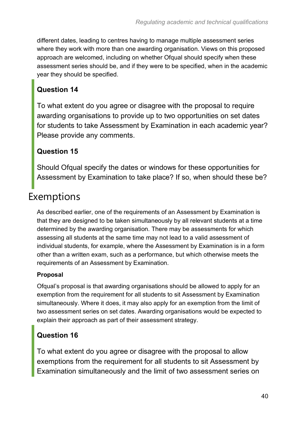different dates, leading to centres having to manage multiple assessment series where they work with more than one awarding organisation. Views on this proposed approach are welcomed, including on whether Ofqual should specify when these assessment series should be, and if they were to be specified, when in the academic year they should be specified.

#### **Question 14**

To what extent do you agree or disagree with the proposal to require awarding organisations to provide up to two opportunities on set dates for students to take Assessment by Examination in each academic year? Please provide any comments.

#### **Question 15**

Should Ofqual specify the dates or windows for these opportunities for Assessment by Examination to take place? If so, when should these be?

### Exemptions

As described earlier, one of the requirements of an Assessment by Examination is that they are designed to be taken simultaneously by all relevant students at a time determined by the awarding organisation. There may be assessments for which assessing all students at the same time may not lead to a valid assessment of individual students, for example, where the Assessment by Examination is in a form other than a written exam, such as a performance, but which otherwise meets the requirements of an Assessment by Examination.

#### **Proposal**

Ofqual's proposal is that awarding organisations should be allowed to apply for an exemption from the requirement for all students to sit Assessment by Examination simultaneously. Where it does, it may also apply for an exemption from the limit of two assessment series on set dates. Awarding organisations would be expected to explain their approach as part of their assessment strategy.

### **Question 16**

To what extent do you agree or disagree with the proposal to allow exemptions from the requirement for all students to sit Assessment by Examination simultaneously and the limit of two assessment series on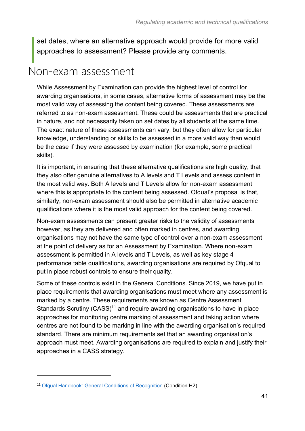set dates, where an alternative approach would provide for more valid approaches to assessment? Please provide any comments.

### <span id="page-40-0"></span>Non-exam assessment

While Assessment by Examination can provide the highest level of control for awarding organisations, in some cases, alternative forms of assessment may be the most valid way of assessing the content being covered. These assessments are referred to as non-exam assessment. These could be assessments that are practical in nature, and not necessarily taken on set dates by all students at the same time. The exact nature of these assessments can vary, but they often allow for particular knowledge, understanding or skills to be assessed in a more valid way than would be the case if they were assessed by examination (for example, some practical skills).

It is important, in ensuring that these alternative qualifications are high quality, that they also offer genuine alternatives to A levels and T Levels and assess content in the most valid way. Both A levels and T Levels allow for non-exam assessment where this is appropriate to the content being assessed. Ofqual's proposal is that, similarly, non-exam assessment should also be permitted in alternative academic qualifications where it is the most valid approach for the content being covered.

Non-exam assessments can present greater risks to the validity of assessments however, as they are delivered and often marked in centres, and awarding organisations may not have the same type of control over a non-exam assessment at the point of delivery as for an Assessment by Examination. Where non-exam assessment is permitted in A levels and T Levels, as well as key stage 4 performance table qualifications, awarding organisations are required by Ofqual to put in place robust controls to ensure their quality.

Some of these controls exist in the General Conditions. Since 2019, we have put in place requirements that awarding organisations must meet where any assessment is marked by a centre. These requirements are known as Centre Assessment Standards Scrutiny ( $CASS$ )<sup>11</sup> and require awarding organisations to have in place approaches for monitoring centre marking of assessment and taking action where centres are not found to be marking in line with the awarding organisation's required standard. There are minimum requirements set that an awarding organisation's approach must meet. Awarding organisations are required to explain and justify their approaches in a CASS strategy.

<sup>&</sup>lt;sup>11</sup> [Ofqual Handbook: General Conditions of Recognition](https://www.gov.uk/guidance/ofqual-handbook/section-h-from-marking-to-issuing-results) (Condition H2)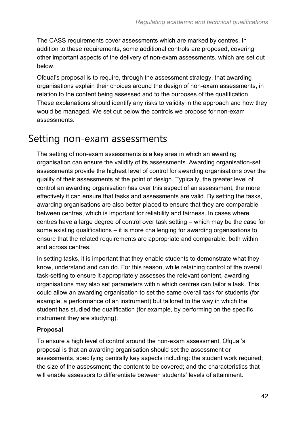The CASS requirements cover assessments which are marked by centres. In addition to these requirements, some additional controls are proposed, covering other important aspects of the delivery of non-exam assessments, which are set out below.

Ofqual's proposal is to require, through the assessment strategy, that awarding organisations explain their choices around the design of non-exam assessments, in relation to the content being assessed and to the purposes of the qualification. These explanations should identify any risks to validity in the approach and how they would be managed. We set out below the controls we propose for non-exam assessments.

### Setting non-exam assessments

The setting of non-exam assessments is a key area in which an awarding organisation can ensure the validity of its assessments. Awarding organisation-set assessments provide the highest level of control for awarding organisations over the quality of their assessments at the point of design. Typically, the greater level of control an awarding organisation has over this aspect of an assessment, the more effectively it can ensure that tasks and assessments are valid. By setting the tasks, awarding organisations are also better placed to ensure that they are comparable between centres, which is important for reliability and fairness. In cases where centres have a large degree of control over task setting – which may be the case for some existing qualifications – it is more challenging for awarding organisations to ensure that the related requirements are appropriate and comparable, both within and across centres.

In setting tasks, it is important that they enable students to demonstrate what they know, understand and can do. For this reason, while retaining control of the overall task-setting to ensure it appropriately assesses the relevant content, awarding organisations may also set parameters within which centres can tailor a task. This could allow an awarding organisation to set the same overall task for students (for example, a performance of an instrument) but tailored to the way in which the student has studied the qualification (for example, by performing on the specific instrument they are studying).

#### **Proposal**

To ensure a high level of control around the non-exam assessment, Ofqual's proposal is that an awarding organisation should set the assessment or assessments, specifying centrally key aspects including: the student work required; the size of the assessment; the content to be covered; and the characteristics that will enable assessors to differentiate between students' levels of attainment.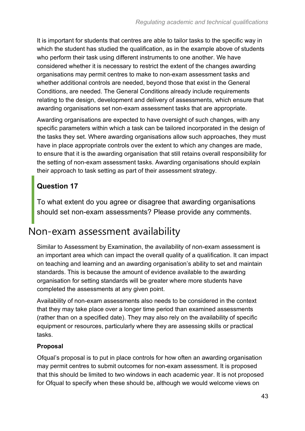It is important for students that centres are able to tailor tasks to the specific way in which the student has studied the qualification, as in the example above of students who perform their task using different instruments to one another. We have considered whether it is necessary to restrict the extent of the changes awarding organisations may permit centres to make to non-exam assessment tasks and whether additional controls are needed, beyond those that exist in the General Conditions, are needed. The General Conditions already include requirements relating to the design, development and delivery of assessments, which ensure that awarding organisations set non-exam assessment tasks that are appropriate.

Awarding organisations are expected to have oversight of such changes, with any specific parameters within which a task can be tailored incorporated in the design of the tasks they set. Where awarding organisations allow such approaches, they must have in place appropriate controls over the extent to which any changes are made, to ensure that it is the awarding organisation that still retains overall responsibility for the setting of non-exam assessment tasks. Awarding organisations should explain their approach to task setting as part of their assessment strategy.

### **Question 17**

To what extent do you agree or disagree that awarding organisations should set non-exam assessments? Please provide any comments.

### Non-exam assessment availability

Similar to Assessment by Examination, the availability of non-exam assessment is an important area which can impact the overall quality of a qualification. It can impact on teaching and learning and an awarding organisation's ability to set and maintain standards. This is because the amount of evidence available to the awarding organisation for setting standards will be greater where more students have completed the assessments at any given point.

Availability of non-exam assessments also needs to be considered in the context that they may take place over a longer time period than examined assessments (rather than on a specified date). They may also rely on the availability of specific equipment or resources, particularly where they are assessing skills or practical tasks.

#### **Proposal**

Ofqual's proposal is to put in place controls for how often an awarding organisation may permit centres to submit outcomes for non-exam assessment. It is proposed that this should be limited to two windows in each academic year. It is not proposed for Ofqual to specify when these should be, although we would welcome views on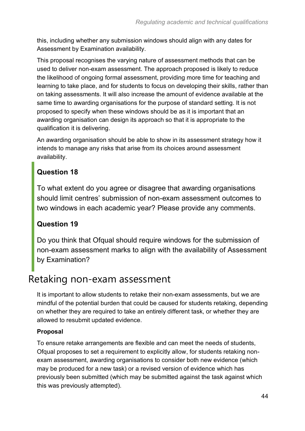this, including whether any submission windows should align with any dates for Assessment by Examination availability.

This proposal recognises the varying nature of assessment methods that can be used to deliver non-exam assessment. The approach proposed is likely to reduce the likelihood of ongoing formal assessment, providing more time for teaching and learning to take place, and for students to focus on developing their skills, rather than on taking assessments. It will also increase the amount of evidence available at the same time to awarding organisations for the purpose of standard setting. It is not proposed to specify when these windows should be as it is important that an awarding organisation can design its approach so that it is appropriate to the qualification it is delivering.

An awarding organisation should be able to show in its assessment strategy how it intends to manage any risks that arise from its choices around assessment availability.

#### **Question 18**

To what extent do you agree or disagree that awarding organisations should limit centres' submission of non-exam assessment outcomes to two windows in each academic year? Please provide any comments.

#### **Question 19**

Do you think that Ofqual should require windows for the submission of non-exam assessment marks to align with the availability of Assessment by Examination?

### Retaking non-exam assessment

It is important to allow students to retake their non-exam assessments, but we are mindful of the potential burden that could be caused for students retaking, depending on whether they are required to take an entirely different task, or whether they are allowed to resubmit updated evidence.

#### **Proposal**

To ensure retake arrangements are flexible and can meet the needs of students, Ofqual proposes to set a requirement to explicitly allow, for students retaking nonexam assessment, awarding organisations to consider both new evidence (which may be produced for a new task) or a revised version of evidence which has previously been submitted (which may be submitted against the task against which this was previously attempted).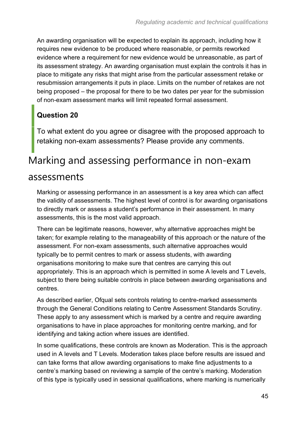An awarding organisation will be expected to explain its approach, including how it requires new evidence to be produced where reasonable, or permits reworked evidence where a requirement for new evidence would be unreasonable, as part of its assessment strategy. An awarding organisation must explain the controls it has in place to mitigate any risks that might arise from the particular assessment retake or resubmission arrangements it puts in place. Limits on the number of retakes are not being proposed – the proposal for there to be two dates per year for the submission of non-exam assessment marks will limit repeated formal assessment.

### **Question 20**

To what extent do you agree or disagree with the proposed approach to retaking non-exam assessments? Please provide any comments.

# Marking and assessing performance in non-exam

### assessments

Marking or assessing performance in an assessment is a key area which can affect the validity of assessments. The highest level of control is for awarding organisations to directly mark or assess a student's performance in their assessment. In many assessments, this is the most valid approach.

There can be legitimate reasons, however, why alternative approaches might be taken; for example relating to the manageability of this approach or the nature of the assessment. For non-exam assessments, such alternative approaches would typically be to permit centres to mark or assess students, with awarding organisations monitoring to make sure that centres are carrying this out appropriately. This is an approach which is permitted in some A levels and T Levels, subject to there being suitable controls in place between awarding organisations and centres.

As described earlier, Ofqual sets controls relating to centre-marked assessments through the General Conditions relating to Centre Assessment Standards Scrutiny. These apply to any assessment which is marked by a centre and require awarding organisations to have in place approaches for monitoring centre marking, and for identifying and taking action where issues are identified.

In some qualifications, these controls are known as Moderation. This is the approach used in A levels and T Levels. Moderation takes place before results are issued and can take forms that allow awarding organisations to make fine adjustments to a centre's marking based on reviewing a sample of the centre's marking. Moderation of this type is typically used in sessional qualifications, where marking is numerically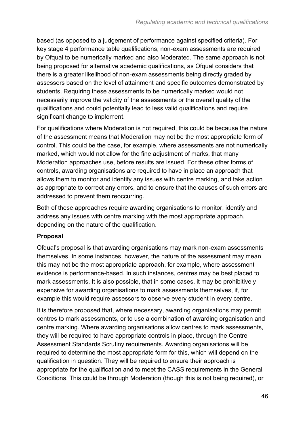based (as opposed to a judgement of performance against specified criteria). For key stage 4 performance table qualifications, non-exam assessments are required by Ofqual to be numerically marked and also Moderated. The same approach is not being proposed for alternative academic qualifications, as Ofqual considers that there is a greater likelihood of non-exam assessments being directly graded by assessors based on the level of attainment and specific outcomes demonstrated by students. Requiring these assessments to be numerically marked would not necessarily improve the validity of the assessments or the overall quality of the qualifications and could potentially lead to less valid qualifications and require significant change to implement.

For qualifications where Moderation is not required, this could be because the nature of the assessment means that Moderation may not be the most appropriate form of control. This could be the case, for example, where assessments are not numerically marked, which would not allow for the fine adjustment of marks, that many Moderation approaches use, before results are issued. For these other forms of controls, awarding organisations are required to have in place an approach that allows them to monitor and identify any issues with centre marking, and take action as appropriate to correct any errors, and to ensure that the causes of such errors are addressed to prevent them reoccurring.

Both of these approaches require awarding organisations to monitor, identify and address any issues with centre marking with the most appropriate approach, depending on the nature of the qualification.

#### **Proposal**

Ofqual's proposal is that awarding organisations may mark non-exam assessments themselves. In some instances, however, the nature of the assessment may mean this may not be the most appropriate approach, for example, where assessment evidence is performance-based. In such instances, centres may be best placed to mark assessments. It is also possible, that in some cases, it may be prohibitively expensive for awarding organisations to mark assessments themselves, if, for example this would require assessors to observe every student in every centre.

It is therefore proposed that, where necessary, awarding organisations may permit centres to mark assessments, or to use a combination of awarding organisation and centre marking. Where awarding organisations allow centres to mark assessments, they will be required to have appropriate controls in place, through the Centre Assessment Standards Scrutiny requirements. Awarding organisations will be required to determine the most appropriate form for this, which will depend on the qualification in question. They will be required to ensure their approach is appropriate for the qualification and to meet the CASS requirements in the General Conditions. This could be through Moderation (though this is not being required), or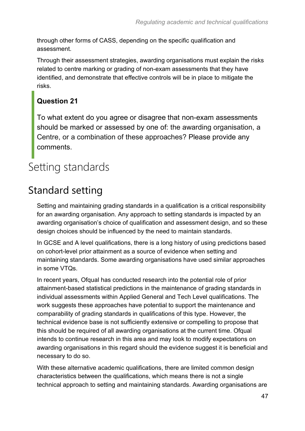through other forms of CASS, depending on the specific qualification and assessment.

Through their assessment strategies, awarding organisations must explain the risks related to centre marking or grading of non-exam assessments that they have identified, and demonstrate that effective controls will be in place to mitigate the risks.

#### **Question 21**

To what extent do you agree or disagree that non-exam assessments should be marked or assessed by one of: the awarding organisation, a Centre, or a combination of these approaches? Please provide any comments.

# <span id="page-46-0"></span>Setting standards

### Standard setting

Setting and maintaining grading standards in a qualification is a critical responsibility for an awarding organisation. Any approach to setting standards is impacted by an awarding organisation's choice of qualification and assessment design, and so these design choices should be influenced by the need to maintain standards.

In GCSE and A level qualifications, there is a long history of using predictions based on cohort-level prior attainment as a source of evidence when setting and maintaining standards. Some awarding organisations have used similar approaches in some VTQs.

In recent years, Ofqual has conducted research into the potential role of prior attainment-based statistical predictions in the maintenance of grading standards in individual assessments within Applied General and Tech Level qualifications. The work suggests these approaches have potential to support the maintenance and comparability of grading standards in qualifications of this type. However, the technical evidence base is not sufficiently extensive or compelling to propose that this should be required of all awarding organisations at the current time. Ofqual intends to continue research in this area and may look to modify expectations on awarding organisations in this regard should the evidence suggest it is beneficial and necessary to do so.

With these alternative academic qualifications, there are limited common design characteristics between the qualifications, which means there is not a single technical approach to setting and maintaining standards. Awarding organisations are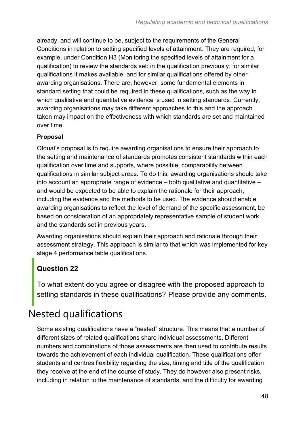already, and will continue to be, subject to the requirements of the General Conditions in relation to setting specified levels of attainment. They are required, for example, under Condition H3 (Monitoring the specified levels of attainment for a qualification) to review the standards set: in the qualification previously; for similar qualifications it makes available; and for similar qualifications offered by other awarding organisations. There are, however, some fundamental elements in standard setting that could be required in these qualifications, such as the way in which qualitative and quantitative evidence is used in setting standards. Currently, awarding organisations may take different approaches to this and the approach taken may impact on the effectiveness with which standards are set and maintained over time.

#### **Proposal**

Ofqual's proposal is to require awarding organisations to ensure their approach to the setting and maintenance of standards promotes consistent standards within each qualification over time and supports, where possible, comparability between qualifications in similar subject areas. To do this, awarding organisations should take into account an appropriate range of evidence – both qualitative and quantitative – and would be expected to be able to explain the rationale for their approach, including the evidence and the methods to be used. The evidence should enable awarding organisations to reflect the level of demand of the specific assessment, be based on consideration of an appropriately representative sample of student work and the standards set in previous years.

Awarding organisations should explain their approach and rationale through their assessment strategy. This approach is similar to that which was implemented for key stage 4 performance table qualifications.

#### **Question 22**

To what extent do you agree or disagree with the proposed approach to setting standards in these qualifications? Please provide any comments.

### Nested qualifications

Some existing qualifications have a "nested" structure. This means that a number of different sizes of related qualifications share individual assessments. Different numbers and combinations of those assessments are then used to contribute results towards the achievement of each individual qualification. These qualifications offer students and centres flexibility regarding the size, timing and title of the qualification they receive at the end of the course of study. They do however also present risks, including in relation to the maintenance of standards, and the difficulty for awarding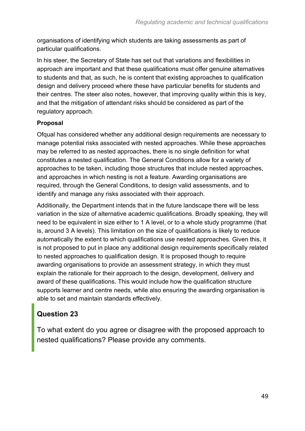organisations of identifying which students are taking assessments as part of particular qualifications.

In his steer, the Secretary of State has set out that variations and flexibilities in approach are important and that these qualifications must offer genuine alternatives to students and that, as such, he is content that existing approaches to qualification design and delivery proceed where these have particular benefits for students and their centres. The steer also notes, however, that improving quality within this is key, and that the mitigation of attendant risks should be considered as part of the regulatory approach.

#### **Proposal**

Ofqual has considered whether any additional design requirements are necessary to manage potential risks associated with nested approaches. While these approaches may be referred to as nested approaches, there is no single definition for what constitutes a nested qualification. The General Conditions allow for a variety of approaches to be taken, including those structures that include nested approaches, and approaches in which nesting is not a feature. Awarding organisations are required, through the General Conditions, to design valid assessments, and to identify and manage any risks associated with their approach.

Additionally, the Department intends that in the future landscape there will be less variation in the size of alternative academic qualifications. Broadly speaking, they will need to be equivalent in size either to 1 A level, or to a whole study programme (that is, around 3 A levels). This limitation on the size of qualifications is likely to reduce automatically the extent to which qualifications use nested approaches. Given this, it is not proposed to put in place any additional design requirements specifically related to nested approaches to qualification design. It is proposed though to require awarding organisations to provide an assessment strategy, in which they must explain the rationale for their approach to the design, development, delivery and award of these qualifications. This would include how the qualification structure supports learner and centre needs, while also ensuring the awarding organisation is able to set and maintain standards effectively.

### **Question 23**

To what extent do you agree or disagree with the proposed approach to nested qualifications? Please provide any comments.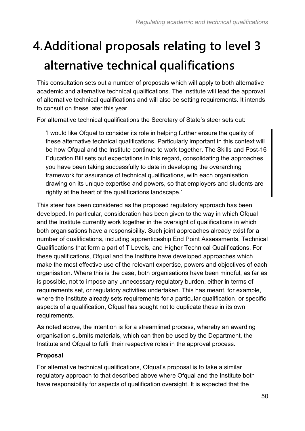# <span id="page-49-0"></span>**4.Additional proposals relating to level 3 alternative technical qualifications**

This consultation sets out a number of proposals which will apply to both alternative academic and alternative technical qualifications. The Institute will lead the approval of alternative technical qualifications and will also be setting requirements. It intends to consult on these later this year.

For alternative technical qualifications the Secretary of State's steer sets out:

'I would like Ofqual to consider its role in helping further ensure the quality of these alternative technical qualifications. Particularly important in this context will be how Ofqual and the Institute continue to work together. The Skills and Post-16 Education Bill sets out expectations in this regard, consolidating the approaches you have been taking successfully to date in developing the overarching framework for assurance of technical qualifications, with each organisation drawing on its unique expertise and powers, so that employers and students are rightly at the heart of the qualifications landscape.'

This steer has been considered as the proposed regulatory approach has been developed. In particular, consideration has been given to the way in which Ofqual and the Institute currently work together in the oversight of qualifications in which both organisations have a responsibility. Such joint approaches already exist for a number of qualifications, including apprenticeship End Point Assessments, Technical Qualifications that form a part of T Levels, and Higher Technical Qualifications. For these qualifications, Ofqual and the Institute have developed approaches which make the most effective use of the relevant expertise, powers and objectives of each organisation. Where this is the case, both organisations have been mindful, as far as is possible, not to impose any unnecessary regulatory burden, either in terms of requirements set, or regulatory activities undertaken. This has meant, for example, where the Institute already sets requirements for a particular qualification, or specific aspects of a qualification, Ofqual has sought not to duplicate these in its own requirements.

As noted above, the intention is for a streamlined process, whereby an awarding organisation submits materials, which can then be used by the Department, the Institute and Ofqual to fulfil their respective roles in the approval process.

#### **Proposal**

For alternative technical qualifications, Ofqual's proposal is to take a similar regulatory approach to that described above where Ofqual and the Institute both have responsibility for aspects of qualification oversight. It is expected that the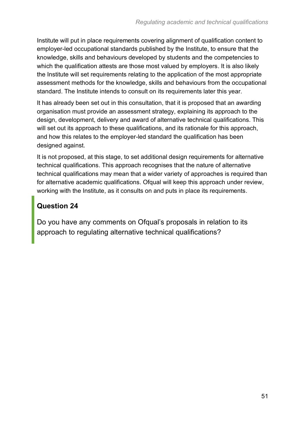Institute will put in place requirements covering alignment of qualification content to employer-led occupational standards published by the Institute, to ensure that the knowledge, skills and behaviours developed by students and the competencies to which the qualification attests are those most valued by employers. It is also likely the Institute will set requirements relating to the application of the most appropriate assessment methods for the knowledge, skills and behaviours from the occupational standard. The Institute intends to consult on its requirements later this year.

It has already been set out in this consultation, that it is proposed that an awarding organisation must provide an assessment strategy, explaining its approach to the design, development, delivery and award of alternative technical qualifications. This will set out its approach to these qualifications, and its rationale for this approach, and how this relates to the employer-led standard the qualification has been designed against.

It is not proposed, at this stage, to set additional design requirements for alternative technical qualifications. This approach recognises that the nature of alternative technical qualifications may mean that a wider variety of approaches is required than for alternative academic qualifications. Ofqual will keep this approach under review, working with the Institute, as it consults on and puts in place its requirements.

#### **Question 24**

Do you have any comments on Ofqual's proposals in relation to its approach to regulating alternative technical qualifications?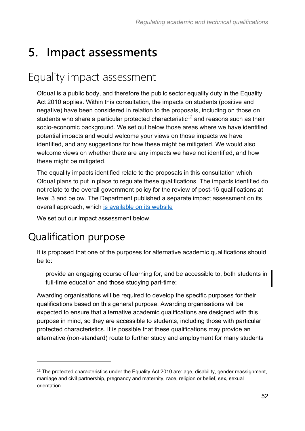# <span id="page-51-0"></span>**5. Impact assessments**

### <span id="page-51-1"></span>Equality impact assessment

Ofqual is a public body, and therefore the public sector equality duty in the Equality Act 2010 applies. Within this consultation, the impacts on students (positive and negative) have been considered in relation to the proposals, including on those on students who share a particular protected characteristic<sup>12</sup> and reasons such as their socio-economic background. We set out below those areas where we have identified potential impacts and would welcome your views on those impacts we have identified, and any suggestions for how these might be mitigated. We would also welcome views on whether there are any impacts we have not identified, and how these might be mitigated.

The equality impacts identified relate to the proposals in this consultation which Ofqual plans to put in place to regulate these qualifications. The impacts identified do not relate to the overall government policy for the review of post-16 qualifications at level 3 and below. The Department published a separate impact assessment on its overall approach, which [is available on its website](https://www.gov.uk/government/consultations/review-of-post-16-qualifications-at-level-3-and-below-in-england)

We set out our impact assessment below.

### Qualification purpose

It is proposed that one of the purposes for alternative academic qualifications should be to:

provide an engaging course of learning for, and be accessible to, both students in full-time education and those studying part-time;

Awarding organisations will be required to develop the specific purposes for their qualifications based on this general purpose. Awarding organisations will be expected to ensure that alternative academic qualifications are designed with this purpose in mind, so they are accessible to students, including those with particular protected characteristics. It is possible that these qualifications may provide an alternative (non-standard) route to further study and employment for many students

<sup>&</sup>lt;sup>12</sup> The protected characteristics under the Equality Act 2010 are: age, disability, gender reassignment, marriage and civil partnership, pregnancy and maternity, race, religion or belief, sex, sexual orientation.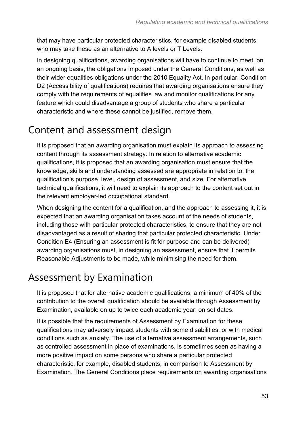that may have particular protected characteristics, for example disabled students who may take these as an alternative to A levels or T Levels.

In designing qualifications, awarding organisations will have to continue to meet, on an ongoing basis, the obligations imposed under the General Conditions, as well as their wider equalities obligations under the 2010 Equality Act. In particular, Condition D2 (Accessibility of qualifications) requires that awarding organisations ensure they comply with the requirements of equalities law and monitor qualifications for any feature which could disadvantage a group of students who share a particular characteristic and where these cannot be justified, remove them.

### Content and assessment design

It is proposed that an awarding organisation must explain its approach to assessing content through its assessment strategy. In relation to alternative academic qualifications, it is proposed that an awarding organisation must ensure that the knowledge, skills and understanding assessed are appropriate in relation to: the qualification's purpose, level, design of assessment, and size. For alternative technical qualifications, it will need to explain its approach to the content set out in the relevant employer-led occupational standard.

When designing the content for a qualification, and the approach to assessing it, it is expected that an awarding organisation takes account of the needs of students, including those with particular protected characteristics, to ensure that they are not disadvantaged as a result of sharing that particular protected characteristic. Under Condition E4 (Ensuring an assessment is fit for purpose and can be delivered) awarding organisations must, in designing an assessment, ensure that it permits Reasonable Adjustments to be made, while minimising the need for them.

### Assessment by Examination

It is proposed that for alternative academic qualifications, a minimum of 40% of the contribution to the overall qualification should be available through Assessment by Examination, available on up to twice each academic year, on set dates.

It is possible that the requirements of Assessment by Examination for these qualifications may adversely impact students with some disabilities, or with medical conditions such as anxiety. The use of alternative assessment arrangements, such as controlled assessment in place of examinations, is sometimes seen as having a more positive impact on some persons who share a particular protected characteristic, for example, disabled students, in comparison to Assessment by Examination. The General Conditions place requirements on awarding organisations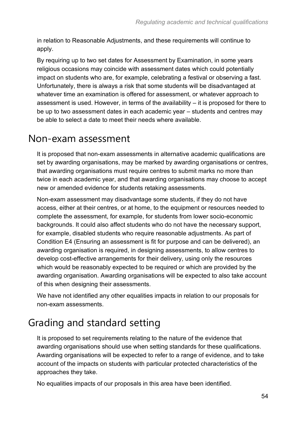in relation to Reasonable Adjustments, and these requirements will continue to apply.

By requiring up to two set dates for Assessment by Examination, in some years religious occasions may coincide with assessment dates which could potentially impact on students who are, for example, celebrating a festival or observing a fast. Unfortunately, there is always a risk that some students will be disadvantaged at whatever time an examination is offered for assessment, or whatever approach to assessment is used. However, in terms of the availability – it is proposed for there to be up to two assessment dates in each academic year – students and centres may be able to select a date to meet their needs where available.

### Non-exam assessment

It is proposed that non-exam assessments in alternative academic qualifications are set by awarding organisations, may be marked by awarding organisations or centres, that awarding organisations must require centres to submit marks no more than twice in each academic year, and that awarding organisations may choose to accept new or amended evidence for students retaking assessments.

Non-exam assessment may disadvantage some students, if they do not have access, either at their centres, or at home, to the equipment or resources needed to complete the assessment, for example, for students from lower socio-economic backgrounds. It could also affect students who do not have the necessary support, for example, disabled students who require reasonable adjustments. As part of Condition E4 (Ensuring an assessment is fit for purpose and can be delivered), an awarding organisation is required, in designing assessments, to allow centres to develop cost-effective arrangements for their delivery, using only the resources which would be reasonably expected to be required or which are provided by the awarding organisation. Awarding organisations will be expected to also take account of this when designing their assessments.

We have not identified any other equalities impacts in relation to our proposals for non-exam assessments.

## Grading and standard setting

It is proposed to set requirements relating to the nature of the evidence that awarding organisations should use when setting standards for these qualifications. Awarding organisations will be expected to refer to a range of evidence, and to take account of the impacts on students with particular protected characteristics of the approaches they take.

No equalities impacts of our proposals in this area have been identified.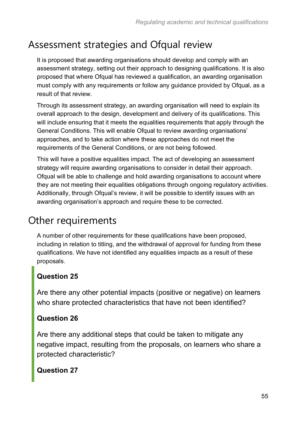### Assessment strategies and Ofqual review

It is proposed that awarding organisations should develop and comply with an assessment strategy, setting out their approach to designing qualifications. It is also proposed that where Ofqual has reviewed a qualification, an awarding organisation must comply with any requirements or follow any guidance provided by Ofqual, as a result of that review.

Through its assessment strategy, an awarding organisation will need to explain its overall approach to the design, development and delivery of its qualifications. This will include ensuring that it meets the equalities requirements that apply through the General Conditions. This will enable Ofqual to review awarding organisations' approaches, and to take action where these approaches do not meet the requirements of the General Conditions, or are not being followed.

This will have a positive equalities impact. The act of developing an assessment strategy will require awarding organisations to consider in detail their approach. Ofqual will be able to challenge and hold awarding organisations to account where they are not meeting their equalities obligations through ongoing regulatory activities. Additionally, through Ofqual's review, it will be possible to identify issues with an awarding organisation's approach and require these to be corrected.

### Other requirements

A number of other requirements for these qualifications have been proposed, including in relation to titling, and the withdrawal of approval for funding from these qualifications. We have not identified any equalities impacts as a result of these proposals.

### **Question 25**

Are there any other potential impacts (positive or negative) on learners who share protected characteristics that have not been identified?

#### **Question 26**

Are there any additional steps that could be taken to mitigate any negative impact, resulting from the proposals, on learners who share a protected characteristic?

#### **Question 27**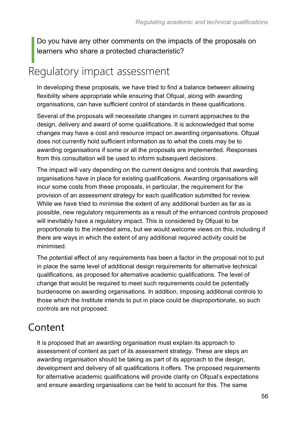Do you have any other comments on the impacts of the proposals on learners who share a protected characteristic?

## <span id="page-55-0"></span>Regulatory impact assessment

In developing these proposals, we have tried to find a balance between allowing flexibility where appropriate while ensuring that Ofqual, along with awarding organisations, can have sufficient control of standards in these qualifications.

Several of the proposals will necessitate changes in current approaches to the design, delivery and award of some qualifications. It is acknowledged that some changes may have a cost and resource impact on awarding organisations. Ofqual does not currently hold sufficient information as to what the costs may be to awarding organisations if some or all the proposals are implemented. Responses from this consultation will be used to inform subsequent decisions.

The impact will vary depending on the current designs and controls that awarding organisations have in place for existing qualifications. Awarding organisations will incur some costs from these proposals, in particular, the requirement for the provision of an assessment strategy for each qualification submitted for review. While we have tried to minimise the extent of any additional burden as far as is possible, new regulatory requirements as a result of the enhanced controls proposed will inevitably have a regulatory impact. This is considered by Ofqual to be proportionate to the intended aims, but we would welcome views on this, including if there are ways in which the extent of any additional required activity could be minimised.

The potential effect of any requirements has been a factor in the proposal not to put in place the same level of additional design requirements for alternative technical qualifications, as proposed for alternative academic qualifications. The level of change that would be required to meet such requirements could be potentially burdensome on awarding organisations. In addition, imposing additional controls to those which the Institute intends to put in place could be disproportionate, so such controls are not proposed.

### Content

It is proposed that an awarding organisation must explain its approach to assessment of content as part of its assessment strategy. These are steps an awarding organisation should be taking as part of its approach to the design, development and delivery of all qualifications it offers. The proposed requirements for alternative academic qualifications will provide clarity on Ofqual's expectations and ensure awarding organisations can be held to account for this. The same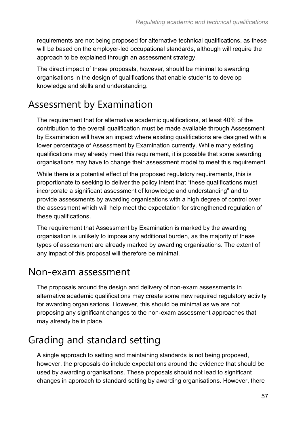requirements are not being proposed for alternative technical qualifications, as these will be based on the employer-led occupational standards, although will require the approach to be explained through an assessment strategy.

The direct impact of these proposals, however, should be minimal to awarding organisations in the design of qualifications that enable students to develop knowledge and skills and understanding.

### Assessment by Examination

The requirement that for alternative academic qualifications, at least 40% of the contribution to the overall qualification must be made available through Assessment by Examination will have an impact where existing qualifications are designed with a lower percentage of Assessment by Examination currently. While many existing qualifications may already meet this requirement, it is possible that some awarding organisations may have to change their assessment model to meet this requirement.

While there is a potential effect of the proposed regulatory requirements, this is proportionate to seeking to deliver the policy intent that "these qualifications must incorporate a significant assessment of knowledge and understanding" and to provide assessments by awarding organisations with a high degree of control over the assessment which will help meet the expectation for strengthened regulation of these qualifications.

The requirement that Assessment by Examination is marked by the awarding organisation is unlikely to impose any additional burden, as the majority of these types of assessment are already marked by awarding organisations. The extent of any impact of this proposal will therefore be minimal.

### Non-exam assessment

The proposals around the design and delivery of non-exam assessments in alternative academic qualifications may create some new required regulatory activity for awarding organisations. However, this should be minimal as we are not proposing any significant changes to the non-exam assessment approaches that may already be in place.

## Grading and standard setting

A single approach to setting and maintaining standards is not being proposed, however, the proposals do include expectations around the evidence that should be used by awarding organisations. These proposals should not lead to significant changes in approach to standard setting by awarding organisations. However, there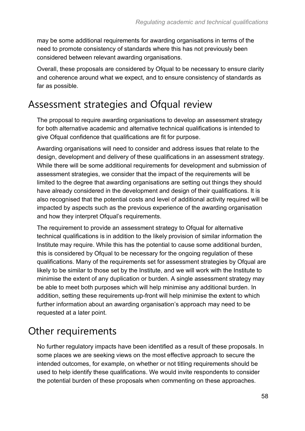may be some additional requirements for awarding organisations in terms of the need to promote consistency of standards where this has not previously been considered between relevant awarding organisations.

Overall, these proposals are considered by Ofqual to be necessary to ensure clarity and coherence around what we expect, and to ensure consistency of standards as far as possible.

### Assessment strategies and Ofqual review

The proposal to require awarding organisations to develop an assessment strategy for both alternative academic and alternative technical qualifications is intended to give Ofqual confidence that qualifications are fit for purpose.

Awarding organisations will need to consider and address issues that relate to the design, development and delivery of these qualifications in an assessment strategy. While there will be some additional requirements for development and submission of assessment strategies, we consider that the impact of the requirements will be limited to the degree that awarding organisations are setting out things they should have already considered in the development and design of their qualifications. It is also recognised that the potential costs and level of additional activity required will be impacted by aspects such as the previous experience of the awarding organisation and how they interpret Ofqual's requirements.

The requirement to provide an assessment strategy to Ofqual for alternative technical qualifications is in addition to the likely provision of similar information the Institute may require. While this has the potential to cause some additional burden, this is considered by Ofqual to be necessary for the ongoing regulation of these qualifications. Many of the requirements set for assessment strategies by Ofqual are likely to be similar to those set by the Institute, and we will work with the Institute to minimise the extent of any duplication or burden. A single assessment strategy may be able to meet both purposes which will help minimise any additional burden. In addition, setting these requirements up-front will help minimise the extent to which further information about an awarding organisation's approach may need to be requested at a later point.

### Other requirements

No further regulatory impacts have been identified as a result of these proposals. In some places we are seeking views on the most effective approach to secure the intended outcomes, for example, on whether or not titling requirements should be used to help identify these qualifications. We would invite respondents to consider the potential burden of these proposals when commenting on these approaches.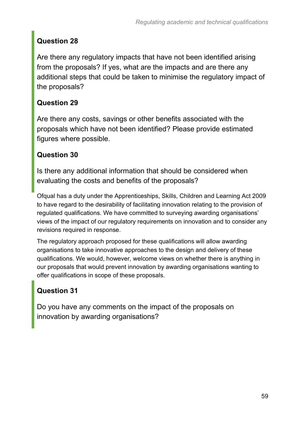### **Question 28**

Are there any regulatory impacts that have not been identified arising from the proposals? If yes, what are the impacts and are there any additional steps that could be taken to minimise the regulatory impact of the proposals?

### **Question 29**

Are there any costs, savings or other benefits associated with the proposals which have not been identified? Please provide estimated figures where possible.

### **Question 30**

Is there any additional information that should be considered when evaluating the costs and benefits of the proposals?

Ofqual has a duty under the Apprenticeships, Skills, Children and Learning Act 2009 to have regard to the desirability of facilitating innovation relating to the provision of regulated qualifications. We have committed to surveying awarding organisations' views of the impact of our regulatory requirements on innovation and to consider any revisions required in response.

The regulatory approach proposed for these qualifications will allow awarding organisations to take innovative approaches to the design and delivery of these qualifications. We would, however, welcome views on whether there is anything in our proposals that would prevent innovation by awarding organisations wanting to offer qualifications in scope of these proposals.

### **Question 31**

Do you have any comments on the impact of the proposals on innovation by awarding organisations?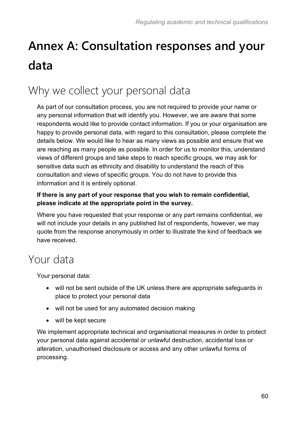# <span id="page-59-0"></span>**Annex A: Consultation responses and your data**

# <span id="page-59-1"></span>Why we collect your personal data

As part of our consultation process, you are not required to provide your name or any personal information that will identify you. However, we are aware that some respondents would like to provide contact information. If you or your organisation are happy to provide personal data, with regard to this consultation, please complete the details below. We would like to hear as many views as possible and ensure that we are reaching as many people as possible. In order for us to monitor this, understand views of different groups and take steps to reach specific groups, we may ask for sensitive data such as ethnicity and disability to understand the reach of this consultation and views of specific groups. You do not have to provide this information and it is entirely optional.

#### **If there is any part of your response that you wish to remain confidential, please indicate at the appropriate point in the survey.**

Where you have requested that your response or any part remains confidential, we will not include your details in any published list of respondents, however, we may quote from the response anonymously in order to illustrate the kind of feedback we have received.

## <span id="page-59-2"></span>Your data

Your personal data:

- will not be sent outside of the UK unless there are appropriate safeguards in place to protect your personal data
- will not be used for any automated decision making
- will be kept secure

We implement appropriate technical and organisational measures in order to protect your personal data against accidental or unlawful destruction, accidental loss or alteration, unauthorised disclosure or access and any other unlawful forms of processing.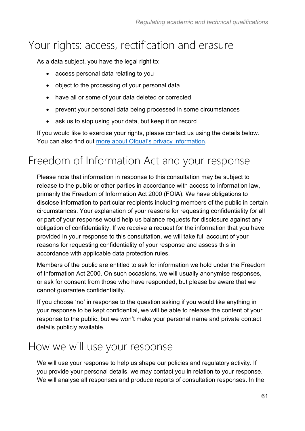## <span id="page-60-0"></span>Your rights: access, rectification and erasure

As a data subject, you have the legal right to:

- access personal data relating to you
- object to the processing of your personal data
- have all or some of your data deleted or corrected
- prevent your personal data being processed in some circumstances
- ask us to stop using your data, but keep it on record

If you would like to exercise your rights, please contact us using the details below. You can also find out [more about Ofqual's privacy information.](https://www.gov.uk/government/organisations/ofqual/about/personal-information-charter)

# <span id="page-60-1"></span>Freedom of Information Act and your response

Please note that information in response to this consultation may be subject to release to the public or other parties in accordance with access to information law, primarily the Freedom of Information Act 2000 (FOIA). We have obligations to disclose information to particular recipients including members of the public in certain circumstances. Your explanation of your reasons for requesting confidentiality for all or part of your response would help us balance requests for disclosure against any obligation of confidentiality. If we receive a request for the information that you have provided in your response to this consultation, we will take full account of your reasons for requesting confidentiality of your response and assess this in accordance with applicable data protection rules.

Members of the public are entitled to ask for information we hold under the Freedom of Information Act 2000. On such occasions, we will usually anonymise responses, or ask for consent from those who have responded, but please be aware that we cannot guarantee confidentiality.

If you choose 'no' in response to the question asking if you would like anything in your response to be kept confidential, we will be able to release the content of your response to the public, but we won't make your personal name and private contact details publicly available.

## <span id="page-60-2"></span>How we will use your response

We will use your response to help us shape our policies and regulatory activity. If you provide your personal details, we may contact you in relation to your response. We will analyse all responses and produce reports of consultation responses. In the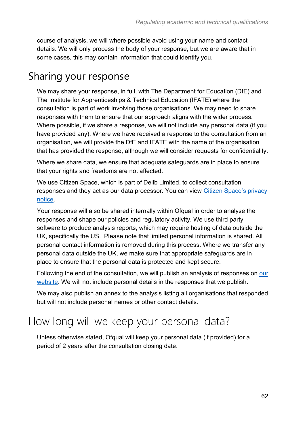course of analysis, we will where possible avoid using your name and contact details. We will only process the body of your response, but we are aware that in some cases, this may contain information that could identify you.

### Sharing your response

We may share your response, in full, with The Department for Education (DfE) and The Institute for Apprenticeships & Technical Education (IFATE) where the consultation is part of work involving those organisations. We may need to share responses with them to ensure that our approach aligns with the wider process. Where possible, if we share a response, we will not include any personal data (if you have provided any). Where we have received a response to the consultation from an organisation, we will provide the DfE and IFATE with the name of the organisation that has provided the response, although we will consider requests for confidentiality.

Where we share data, we ensure that adequate safeguards are in place to ensure that your rights and freedoms are not affected.

We use Citizen Space, which is part of Delib Limited, to collect consultation responses and they act as our data processor. You can view [Citizen Space's privacy](https://app.citizenspace.com/privacy_policy/)  [notice.](https://app.citizenspace.com/privacy_policy/)

Your response will also be shared internally within Ofqual in order to analyse the responses and shape our policies and regulatory activity. We use third party software to produce analysis reports, which may require hosting of data outside the UK, specifically the US. Please note that limited personal information is shared. All personal contact information is removed during this process. Where we transfer any personal data outside the UK, we make sure that appropriate safeguards are in place to ensure that the personal data is protected and kept secure.

Following the end of the consultation, we will publish an analysis of responses on [our](https://www.gov.uk/ofqual)  [website.](https://www.gov.uk/ofqual) We will not include personal details in the responses that we publish.

We may also publish an annex to the analysis listing all organisations that responded but will not include personal names or other contact details.

## <span id="page-61-0"></span>How long will we keep your personal data?

Unless otherwise stated, Ofqual will keep your personal data (if provided) for a period of 2 years after the consultation closing date.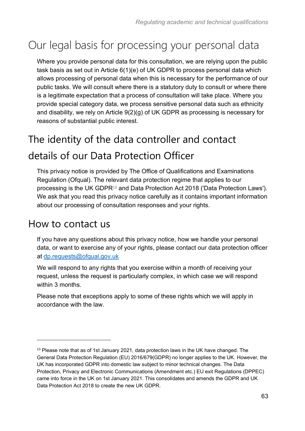# <span id="page-62-0"></span>Our legal basis for processing your personal data

Where you provide personal data for this consultation, we are relying upon the public task basis as set out in Article 6(1)(e) of UK GDPR to process personal data which allows processing of personal data when this is necessary for the performance of our public tasks. We will consult where there is a statutory duty to consult or where there is a legitimate expectation that a process of consultation will take place. Where you provide special category data, we process sensitive personal data such as ethnicity and disability, we rely on Article 9(2)(g) of UK GDPR as processing is necessary for reasons of substantial public interest.

# The identity of the data controller and contact details of our Data Protection Officer

This privacy notice is provided by The Office of Qualifications and Examinations Regulation (Ofqual). The relevant data protection regime that applies to our processing is the UK GDPR<sup>13</sup> and Data Protection Act 2018 ('Data Protection Laws'). We ask that you read this privacy notice carefully as it contains important information about our processing of consultation responses and your rights.

### How to contact us

If you have any questions about this privacy notice, how we handle your personal data, or want to exercise any of your rights, please contact our data protection officer at [dp.requests@ofqual.gov.uk](mailto:dp.requests@ofqual.gov.uk)

We will respond to any rights that you exercise within a month of receiving your request, unless the request is particularly complex, in which case we will respond within 3 months.

Please note that exceptions apply to some of these rights which we will apply in accordance with the law.

<sup>&</sup>lt;sup>13</sup> Please note that as of 1st January 2021, data protection laws in the UK have changed. The General Data Protection Regulation (EU) 2016/679(GDPR) no longer applies to the UK. However, the UK has incorporated GDPR into domestic law subject to minor technical changes. The Data Protection, Privacy and Electronic Communications (Amendment etc.) EU exit Regulations (DPPEC) came into force in the UK on 1st January 2021. This consolidates and amends the GDPR and UK Data Protection Act 2018 to create the new UK GDPR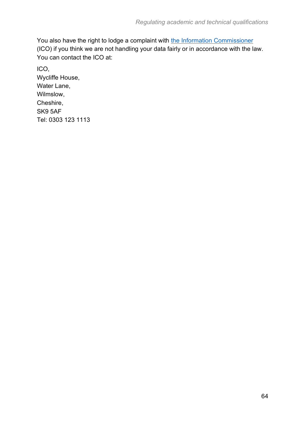You also have the right to lodge a complaint with [the Information Commissioner](https://ico.org.uk/) (ICO) if you think we are not handling your data fairly or in accordance with the law. You can contact the ICO at:

ICO, Wycliffe House, Water Lane, Wilmslow, Cheshire, SK9 5AF Tel: 0303 123 1113